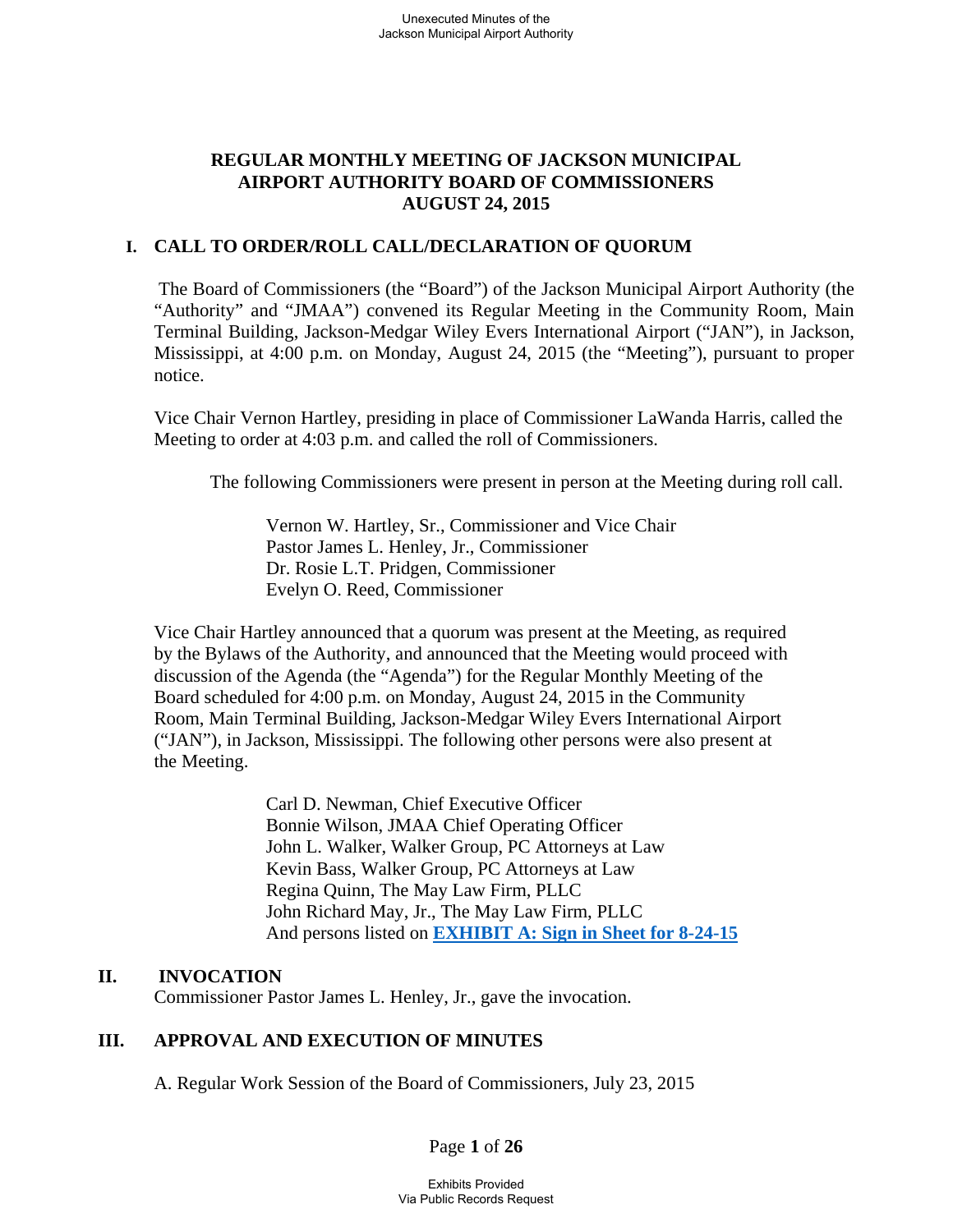# **REGULAR MONTHLY MEETING OF JACKSON MUNICIPAL AIRPORT AUTHORITY BOARD OF COMMISSIONERS AUGUST 24, 2015**

# **I. CALL TO ORDER/ROLL CALL/DECLARATION OF QUORUM**

 The Board of Commissioners (the "Board") of the Jackson Municipal Airport Authority (the "Authority" and "JMAA") convened its Regular Meeting in the Community Room, Main Terminal Building, Jackson-Medgar Wiley Evers International Airport ("JAN"), in Jackson, Mississippi, at 4:00 p.m. on Monday, August 24, 2015 (the "Meeting"), pursuant to proper notice.

Vice Chair Vernon Hartley, presiding in place of Commissioner LaWanda Harris, called the Meeting to order at 4:03 p.m. and called the roll of Commissioners.

The following Commissioners were present in person at the Meeting during roll call.

 Vernon W. Hartley, Sr., Commissioner and Vice Chair Pastor James L. Henley, Jr., Commissioner Dr. Rosie L.T. Pridgen, Commissioner Evelyn O. Reed, Commissioner

 Vice Chair Hartley announced that a quorum was present at the Meeting, as required by the Bylaws of the Authority, and announced that the Meeting would proceed with discussion of the Agenda (the "Agenda") for the Regular Monthly Meeting of the Board scheduled for 4:00 p.m. on Monday, August 24, 2015 in the Community Room, Main Terminal Building, Jackson-Medgar Wiley Evers International Airport ("JAN"), in Jackson, Mississippi. The following other persons were also present at the Meeting.

> Carl D. Newman, Chief Executive Officer Bonnie Wilson, JMAA Chief Operating Officer John L. Walker, Walker Group, PC Attorneys at Law Kevin Bass, Walker Group, PC Attorneys at Law Regina Quinn, The May Law Firm, PLLC John Richard May, Jr., The May Law Firm, PLLC And persons listed on **EXHIBIT A: Sign in Sheet for 8-24-15**

## **II. INVOCATION**

Commissioner Pastor James L. Henley, Jr., gave the invocation.

# **III. APPROVAL AND EXECUTION OF MINUTES**

A. Regular Work Session of the Board of Commissioners, July 23, 2015

Page **1** of **26**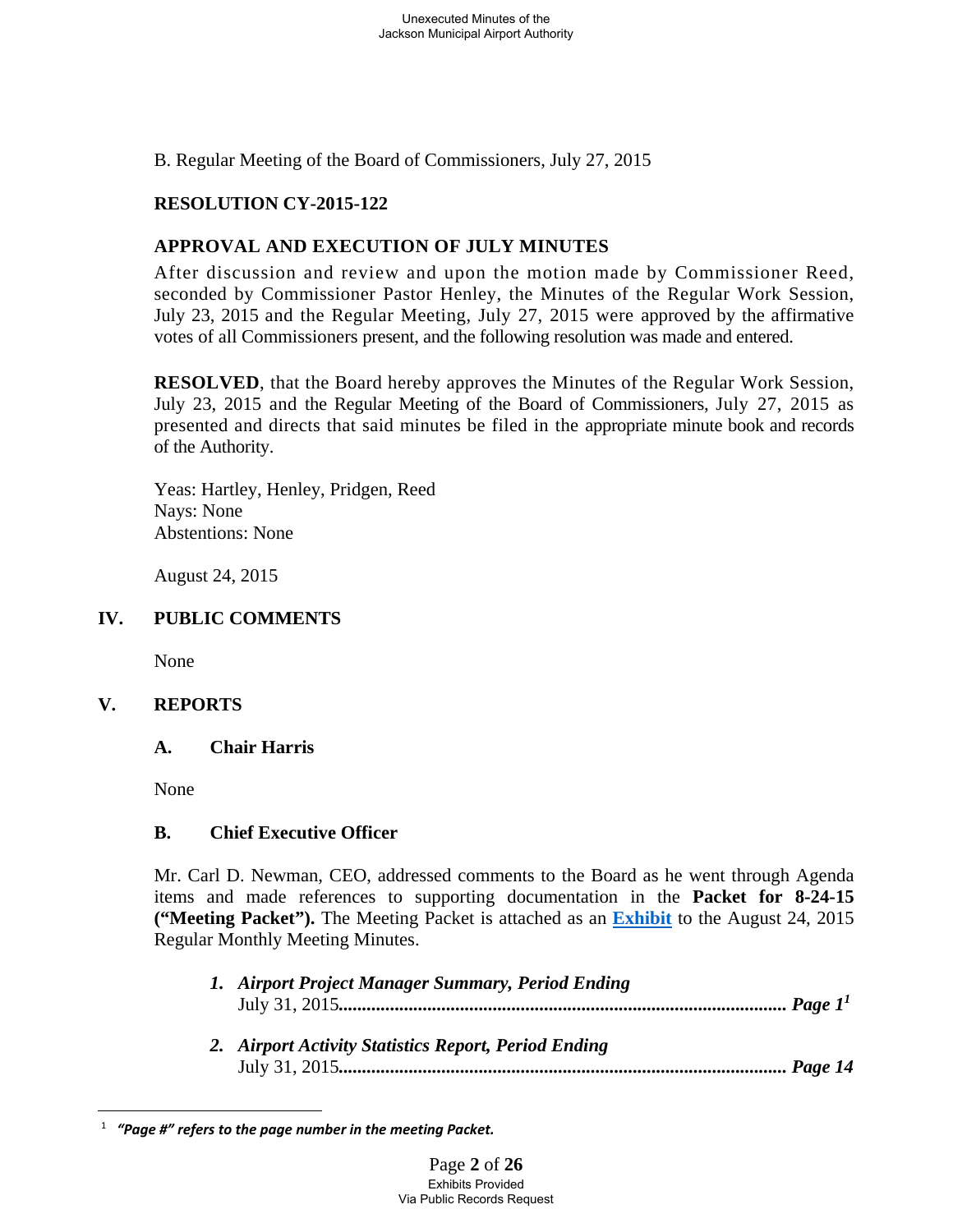B. Regular Meeting of the Board of Commissioners, July 27, 2015

## **RESOLUTION CY-2015-122**

# **APPROVAL AND EXECUTION OF JULY MINUTES**

After discussion and review and upon the motion made by Commissioner Reed, seconded by Commissioner Pastor Henley, the Minutes of the Regular Work Session, July 23, 2015 and the Regular Meeting, July 27, 2015 were approved by the affirmative votes of all Commissioners present, and the following resolution was made and entered.

**RESOLVED**, that the Board hereby approves the Minutes of the Regular Work Session, July 23, 2015 and the Regular Meeting of the Board of Commissioners, July 27, 2015 as presented and directs that said minutes be filed in the appropriate minute book and records of the Authority.

Yeas: Hartley, Henley, Pridgen, Reed Nays: None Abstentions: None

August 24, 2015

#### **IV. PUBLIC COMMENTS**

None

## **V. REPORTS**

#### **A. Chair Harris**

None

#### **B. Chief Executive Officer**

Mr. Carl D. Newman, CEO, addressed comments to the Board as he went through Agenda items and made references to supporting documentation in the **Packet for 8-24-15 ("Meeting Packet").** The Meeting Packet is attached as an **Exhibit** to the August 24, 2015 Regular Monthly Meeting Minutes.

| 1. Airport Project Manager Summary, Period Ending    |  |
|------------------------------------------------------|--|
|                                                      |  |
| 2. Airport Activity Statistics Report, Period Ending |  |
|                                                      |  |

 $\overline{a}$ 1  *"Page #" refers to the page number in the meeting Packet.*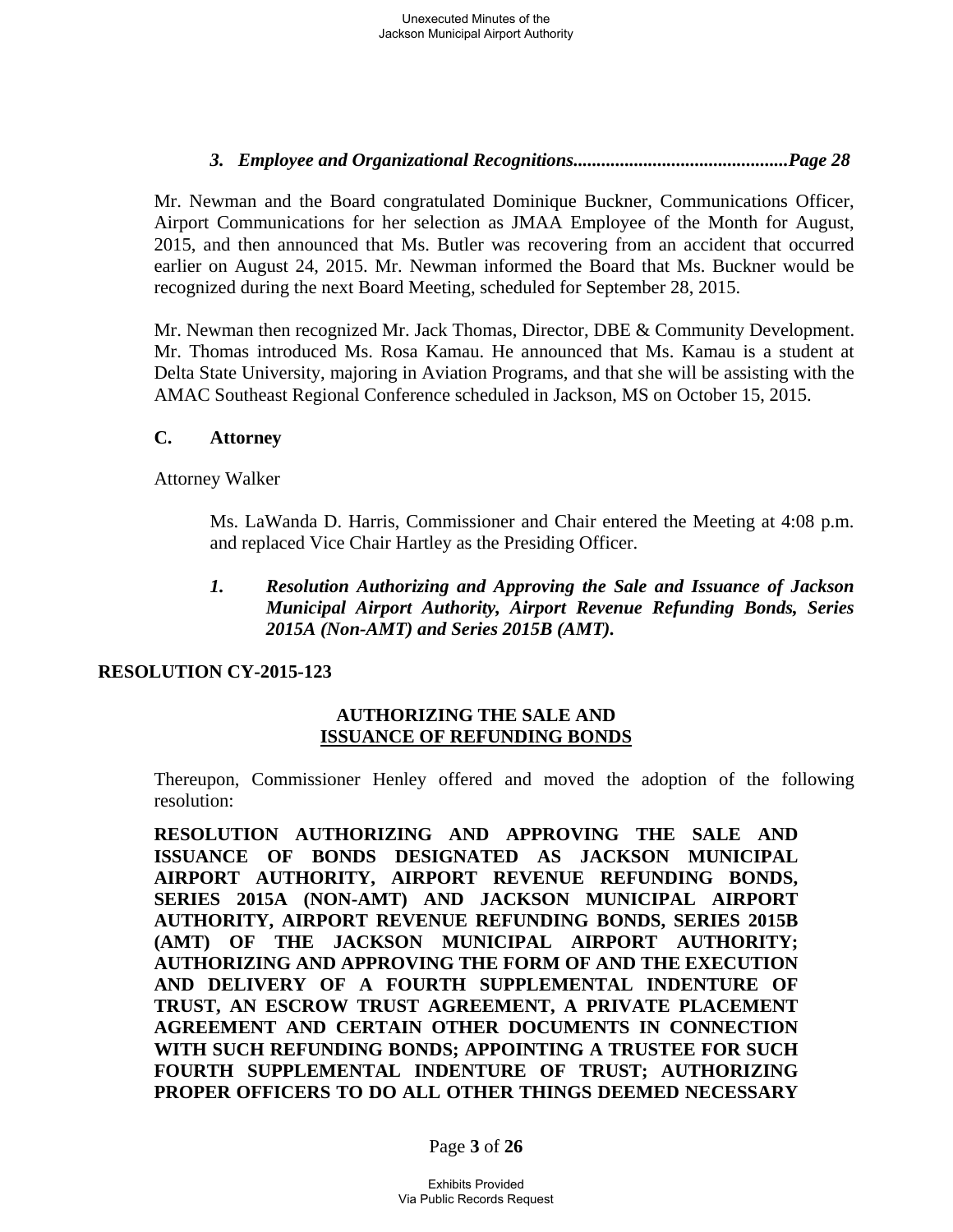# *3. Employee and Organizational Recognitions..............................................Page 28*

Mr. Newman and the Board congratulated Dominique Buckner, Communications Officer, Airport Communications for her selection as JMAA Employee of the Month for August, 2015, and then announced that Ms. Butler was recovering from an accident that occurred earlier on August 24, 2015. Mr. Newman informed the Board that Ms. Buckner would be recognized during the next Board Meeting, scheduled for September 28, 2015.

Mr. Newman then recognized Mr. Jack Thomas, Director, DBE & Community Development. Mr. Thomas introduced Ms. Rosa Kamau. He announced that Ms. Kamau is a student at Delta State University, majoring in Aviation Programs, and that she will be assisting with the AMAC Southeast Regional Conference scheduled in Jackson, MS on October 15, 2015.

## **C. Attorney**

Attorney Walker

Ms. LaWanda D. Harris, Commissioner and Chair entered the Meeting at 4:08 p.m. and replaced Vice Chair Hartley as the Presiding Officer.

## *1. Resolution Authorizing and Approving the Sale and Issuance of Jackson Municipal Airport Authority, Airport Revenue Refunding Bonds, Series 2015A (Non-AMT) and Series 2015B (AMT).*

## **RESOLUTION CY-2015-123**

## **AUTHORIZING THE SALE AND ISSUANCE OF REFUNDING BONDS**

Thereupon, Commissioner Henley offered and moved the adoption of the following resolution:

**RESOLUTION AUTHORIZING AND APPROVING THE SALE AND ISSUANCE OF BONDS DESIGNATED AS JACKSON MUNICIPAL AIRPORT AUTHORITY, AIRPORT REVENUE REFUNDING BONDS, SERIES 2015A (NON-AMT) AND JACKSON MUNICIPAL AIRPORT AUTHORITY, AIRPORT REVENUE REFUNDING BONDS, SERIES 2015B (AMT) OF THE JACKSON MUNICIPAL AIRPORT AUTHORITY; AUTHORIZING AND APPROVING THE FORM OF AND THE EXECUTION AND DELIVERY OF A FOURTH SUPPLEMENTAL INDENTURE OF TRUST, AN ESCROW TRUST AGREEMENT, A PRIVATE PLACEMENT AGREEMENT AND CERTAIN OTHER DOCUMENTS IN CONNECTION WITH SUCH REFUNDING BONDS; APPOINTING A TRUSTEE FOR SUCH FOURTH SUPPLEMENTAL INDENTURE OF TRUST; AUTHORIZING PROPER OFFICERS TO DO ALL OTHER THINGS DEEMED NECESSARY** 

Page **3** of **26**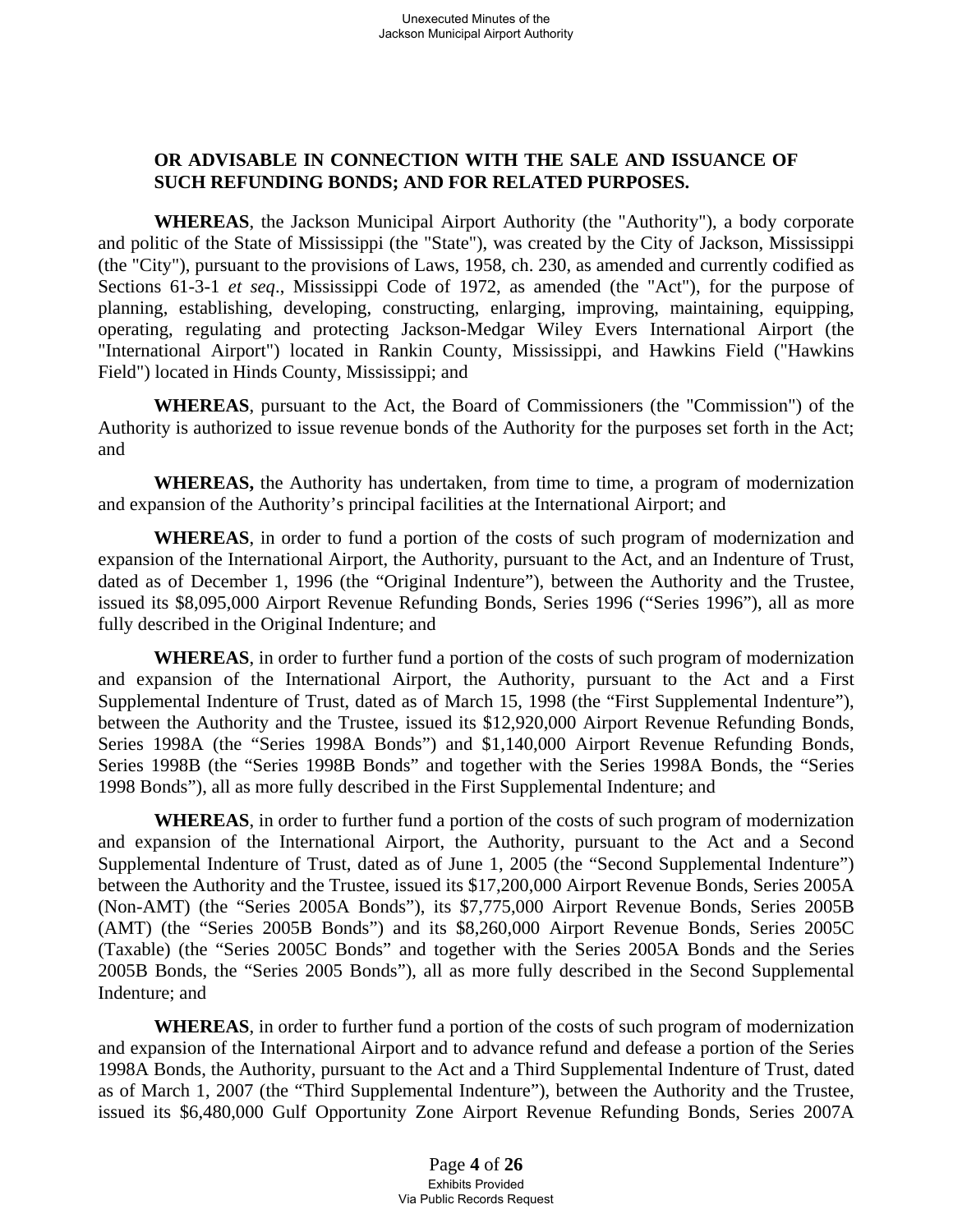## **OR ADVISABLE IN CONNECTION WITH THE SALE AND ISSUANCE OF SUCH REFUNDING BONDS; AND FOR RELATED PURPOSES.**

**WHEREAS**, the Jackson Municipal Airport Authority (the "Authority"), a body corporate and politic of the State of Mississippi (the "State"), was created by the City of Jackson, Mississippi (the "City"), pursuant to the provisions of Laws, 1958, ch. 230, as amended and currently codified as Sections 61-3-1 *et seq*., Mississippi Code of 1972, as amended (the "Act"), for the purpose of planning, establishing, developing, constructing, enlarging, improving, maintaining, equipping, operating, regulating and protecting Jackson-Medgar Wiley Evers International Airport (the "International Airport") located in Rankin County, Mississippi, and Hawkins Field ("Hawkins Field") located in Hinds County, Mississippi; and

**WHEREAS**, pursuant to the Act, the Board of Commissioners (the "Commission") of the Authority is authorized to issue revenue bonds of the Authority for the purposes set forth in the Act; and

**WHEREAS,** the Authority has undertaken, from time to time, a program of modernization and expansion of the Authority's principal facilities at the International Airport; and

**WHEREAS**, in order to fund a portion of the costs of such program of modernization and expansion of the International Airport, the Authority, pursuant to the Act, and an Indenture of Trust, dated as of December 1, 1996 (the "Original Indenture"), between the Authority and the Trustee, issued its \$8,095,000 Airport Revenue Refunding Bonds, Series 1996 ("Series 1996"), all as more fully described in the Original Indenture; and

**WHEREAS**, in order to further fund a portion of the costs of such program of modernization and expansion of the International Airport, the Authority, pursuant to the Act and a First Supplemental Indenture of Trust, dated as of March 15, 1998 (the "First Supplemental Indenture"), between the Authority and the Trustee, issued its \$12,920,000 Airport Revenue Refunding Bonds, Series 1998A (the "Series 1998A Bonds") and \$1,140,000 Airport Revenue Refunding Bonds, Series 1998B (the "Series 1998B Bonds" and together with the Series 1998A Bonds, the "Series 1998 Bonds"), all as more fully described in the First Supplemental Indenture; and

**WHEREAS**, in order to further fund a portion of the costs of such program of modernization and expansion of the International Airport, the Authority, pursuant to the Act and a Second Supplemental Indenture of Trust, dated as of June 1, 2005 (the "Second Supplemental Indenture") between the Authority and the Trustee, issued its \$17,200,000 Airport Revenue Bonds, Series 2005A (Non-AMT) (the "Series 2005A Bonds"), its \$7,775,000 Airport Revenue Bonds, Series 2005B (AMT) (the "Series 2005B Bonds") and its \$8,260,000 Airport Revenue Bonds, Series 2005C (Taxable) (the "Series 2005C Bonds" and together with the Series 2005A Bonds and the Series 2005B Bonds, the "Series 2005 Bonds"), all as more fully described in the Second Supplemental Indenture; and

**WHEREAS**, in order to further fund a portion of the costs of such program of modernization and expansion of the International Airport and to advance refund and defease a portion of the Series 1998A Bonds, the Authority, pursuant to the Act and a Third Supplemental Indenture of Trust, dated as of March 1, 2007 (the "Third Supplemental Indenture"), between the Authority and the Trustee, issued its \$6,480,000 Gulf Opportunity Zone Airport Revenue Refunding Bonds, Series 2007A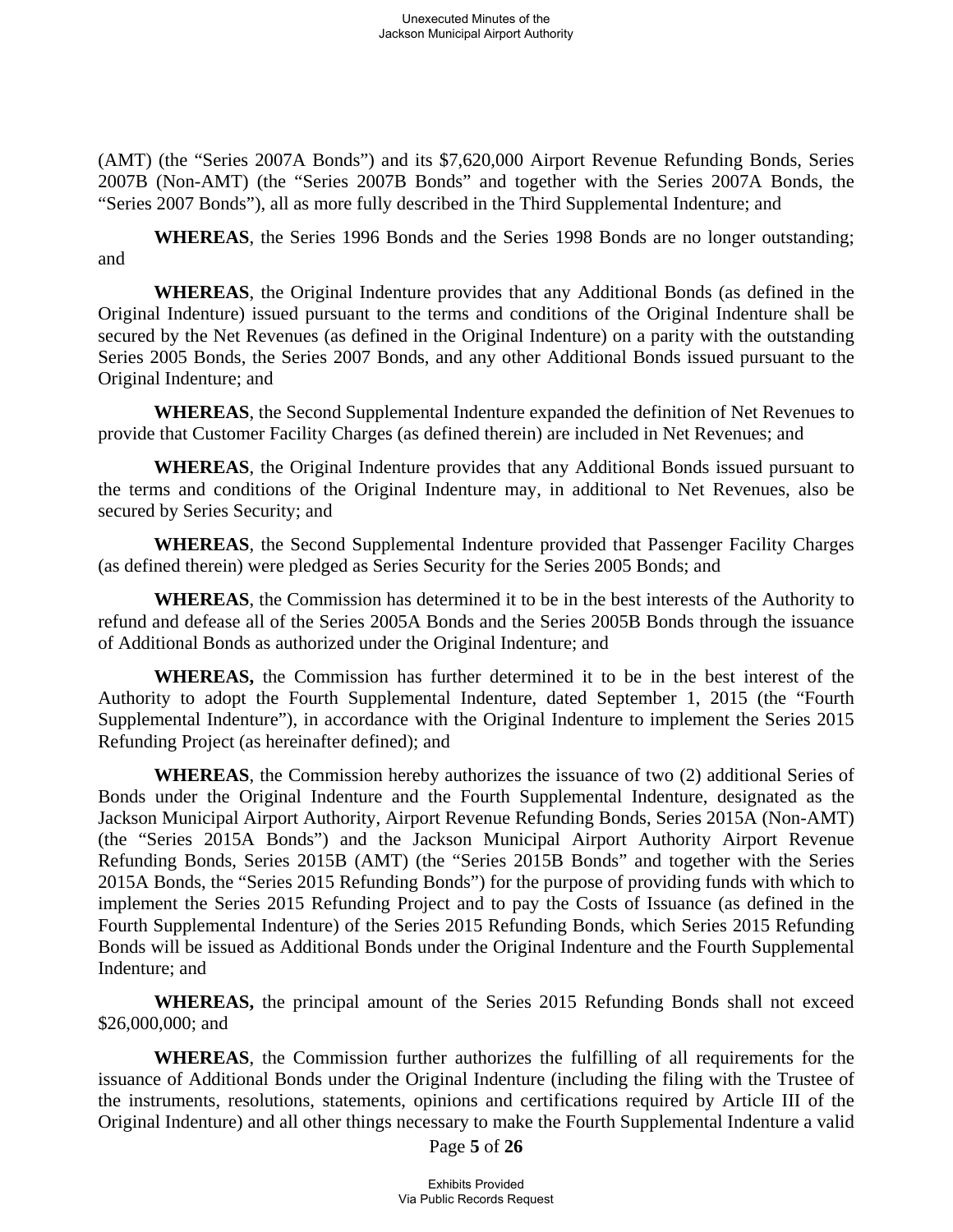(AMT) (the "Series 2007A Bonds") and its \$7,620,000 Airport Revenue Refunding Bonds, Series 2007B (Non-AMT) (the "Series 2007B Bonds" and together with the Series 2007A Bonds, the "Series 2007 Bonds"), all as more fully described in the Third Supplemental Indenture; and

**WHEREAS**, the Series 1996 Bonds and the Series 1998 Bonds are no longer outstanding; and

**WHEREAS**, the Original Indenture provides that any Additional Bonds (as defined in the Original Indenture) issued pursuant to the terms and conditions of the Original Indenture shall be secured by the Net Revenues (as defined in the Original Indenture) on a parity with the outstanding Series 2005 Bonds, the Series 2007 Bonds, and any other Additional Bonds issued pursuant to the Original Indenture; and

**WHEREAS**, the Second Supplemental Indenture expanded the definition of Net Revenues to provide that Customer Facility Charges (as defined therein) are included in Net Revenues; and

**WHEREAS**, the Original Indenture provides that any Additional Bonds issued pursuant to the terms and conditions of the Original Indenture may, in additional to Net Revenues, also be secured by Series Security; and

**WHEREAS**, the Second Supplemental Indenture provided that Passenger Facility Charges (as defined therein) were pledged as Series Security for the Series 2005 Bonds; and

**WHEREAS**, the Commission has determined it to be in the best interests of the Authority to refund and defease all of the Series 2005A Bonds and the Series 2005B Bonds through the issuance of Additional Bonds as authorized under the Original Indenture; and

**WHEREAS,** the Commission has further determined it to be in the best interest of the Authority to adopt the Fourth Supplemental Indenture, dated September 1, 2015 (the "Fourth Supplemental Indenture"), in accordance with the Original Indenture to implement the Series 2015 Refunding Project (as hereinafter defined); and

**WHEREAS**, the Commission hereby authorizes the issuance of two (2) additional Series of Bonds under the Original Indenture and the Fourth Supplemental Indenture, designated as the Jackson Municipal Airport Authority, Airport Revenue Refunding Bonds, Series 2015A (Non-AMT) (the "Series 2015A Bonds") and the Jackson Municipal Airport Authority Airport Revenue Refunding Bonds, Series 2015B (AMT) (the "Series 2015B Bonds" and together with the Series 2015A Bonds, the "Series 2015 Refunding Bonds") for the purpose of providing funds with which to implement the Series 2015 Refunding Project and to pay the Costs of Issuance (as defined in the Fourth Supplemental Indenture) of the Series 2015 Refunding Bonds, which Series 2015 Refunding Bonds will be issued as Additional Bonds under the Original Indenture and the Fourth Supplemental Indenture; and

**WHEREAS,** the principal amount of the Series 2015 Refunding Bonds shall not exceed \$26,000,000; and

**WHEREAS**, the Commission further authorizes the fulfilling of all requirements for the issuance of Additional Bonds under the Original Indenture (including the filing with the Trustee of the instruments, resolutions, statements, opinions and certifications required by Article III of the Original Indenture) and all other things necessary to make the Fourth Supplemental Indenture a valid

Page **5** of **26**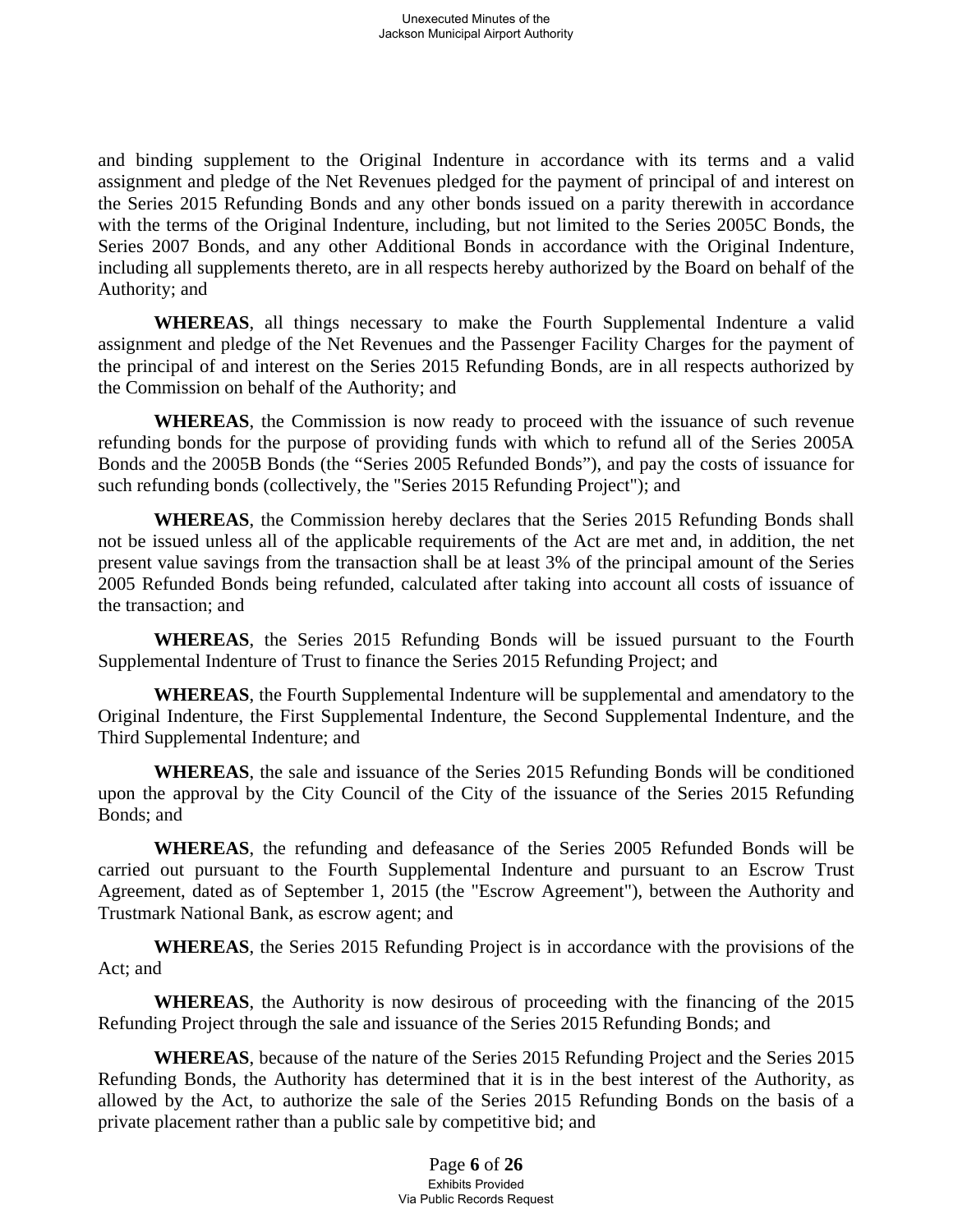and binding supplement to the Original Indenture in accordance with its terms and a valid assignment and pledge of the Net Revenues pledged for the payment of principal of and interest on the Series 2015 Refunding Bonds and any other bonds issued on a parity therewith in accordance with the terms of the Original Indenture, including, but not limited to the Series 2005C Bonds, the Series 2007 Bonds, and any other Additional Bonds in accordance with the Original Indenture, including all supplements thereto, are in all respects hereby authorized by the Board on behalf of the Authority; and

**WHEREAS**, all things necessary to make the Fourth Supplemental Indenture a valid assignment and pledge of the Net Revenues and the Passenger Facility Charges for the payment of the principal of and interest on the Series 2015 Refunding Bonds, are in all respects authorized by the Commission on behalf of the Authority; and

**WHEREAS**, the Commission is now ready to proceed with the issuance of such revenue refunding bonds for the purpose of providing funds with which to refund all of the Series 2005A Bonds and the 2005B Bonds (the "Series 2005 Refunded Bonds"), and pay the costs of issuance for such refunding bonds (collectively, the "Series 2015 Refunding Project"); and

**WHEREAS**, the Commission hereby declares that the Series 2015 Refunding Bonds shall not be issued unless all of the applicable requirements of the Act are met and, in addition, the net present value savings from the transaction shall be at least 3% of the principal amount of the Series 2005 Refunded Bonds being refunded, calculated after taking into account all costs of issuance of the transaction; and

**WHEREAS**, the Series 2015 Refunding Bonds will be issued pursuant to the Fourth Supplemental Indenture of Trust to finance the Series 2015 Refunding Project; and

**WHEREAS**, the Fourth Supplemental Indenture will be supplemental and amendatory to the Original Indenture, the First Supplemental Indenture, the Second Supplemental Indenture, and the Third Supplemental Indenture; and

**WHEREAS**, the sale and issuance of the Series 2015 Refunding Bonds will be conditioned upon the approval by the City Council of the City of the issuance of the Series 2015 Refunding Bonds; and

**WHEREAS**, the refunding and defeasance of the Series 2005 Refunded Bonds will be carried out pursuant to the Fourth Supplemental Indenture and pursuant to an Escrow Trust Agreement, dated as of September 1, 2015 (the "Escrow Agreement"), between the Authority and Trustmark National Bank, as escrow agent; and

**WHEREAS**, the Series 2015 Refunding Project is in accordance with the provisions of the Act; and

**WHEREAS**, the Authority is now desirous of proceeding with the financing of the 2015 Refunding Project through the sale and issuance of the Series 2015 Refunding Bonds; and

**WHEREAS**, because of the nature of the Series 2015 Refunding Project and the Series 2015 Refunding Bonds, the Authority has determined that it is in the best interest of the Authority, as allowed by the Act, to authorize the sale of the Series 2015 Refunding Bonds on the basis of a private placement rather than a public sale by competitive bid; and

> Page **6** of **26** Exhibits Provided Via Public Records Request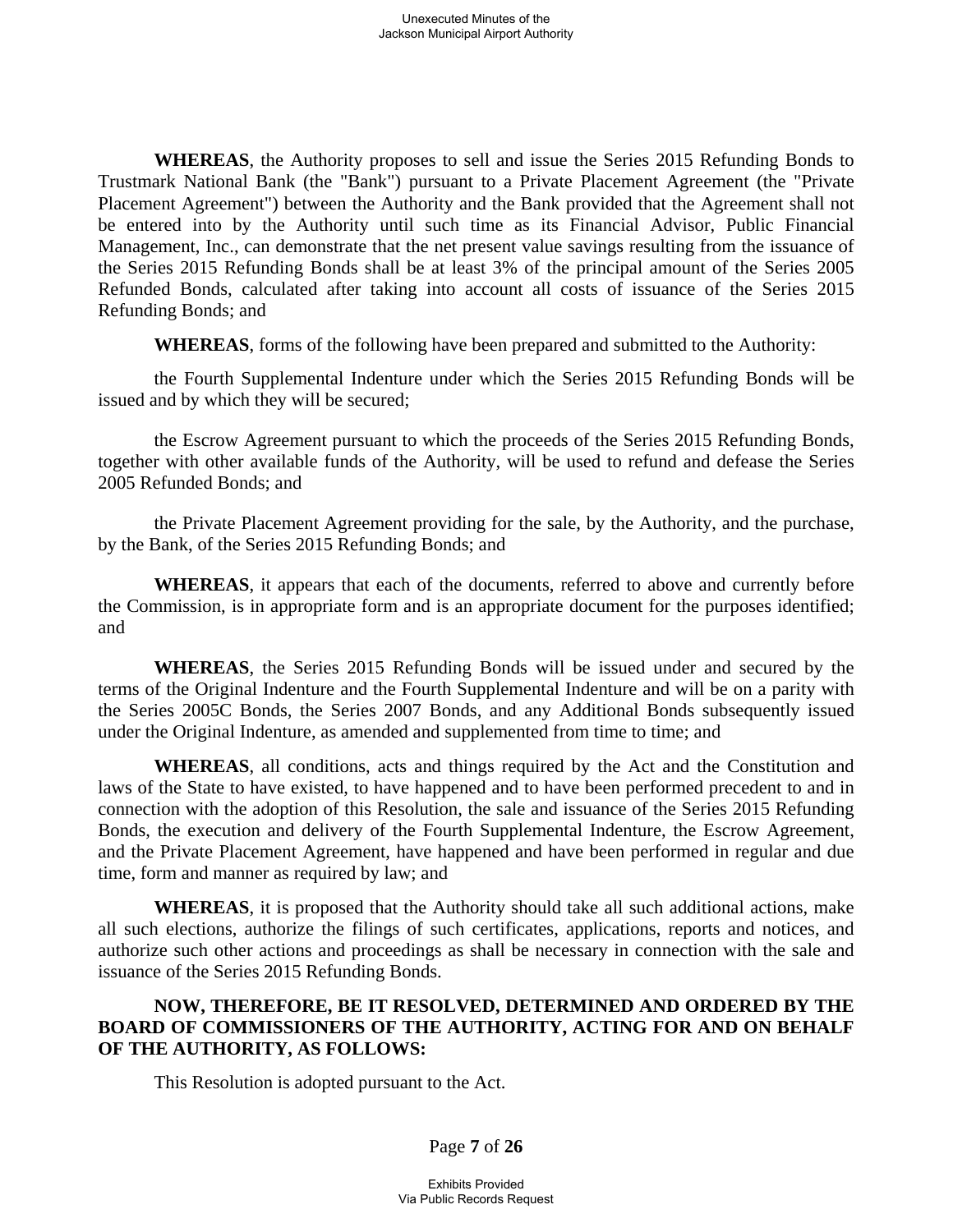**WHEREAS**, the Authority proposes to sell and issue the Series 2015 Refunding Bonds to Trustmark National Bank (the "Bank") pursuant to a Private Placement Agreement (the "Private Placement Agreement") between the Authority and the Bank provided that the Agreement shall not be entered into by the Authority until such time as its Financial Advisor, Public Financial Management, Inc., can demonstrate that the net present value savings resulting from the issuance of the Series 2015 Refunding Bonds shall be at least 3% of the principal amount of the Series 2005 Refunded Bonds, calculated after taking into account all costs of issuance of the Series 2015 Refunding Bonds; and

**WHEREAS**, forms of the following have been prepared and submitted to the Authority:

the Fourth Supplemental Indenture under which the Series 2015 Refunding Bonds will be issued and by which they will be secured;

the Escrow Agreement pursuant to which the proceeds of the Series 2015 Refunding Bonds, together with other available funds of the Authority, will be used to refund and defease the Series 2005 Refunded Bonds; and

the Private Placement Agreement providing for the sale, by the Authority, and the purchase, by the Bank, of the Series 2015 Refunding Bonds; and

**WHEREAS**, it appears that each of the documents, referred to above and currently before the Commission, is in appropriate form and is an appropriate document for the purposes identified; and

**WHEREAS**, the Series 2015 Refunding Bonds will be issued under and secured by the terms of the Original Indenture and the Fourth Supplemental Indenture and will be on a parity with the Series 2005C Bonds, the Series 2007 Bonds, and any Additional Bonds subsequently issued under the Original Indenture, as amended and supplemented from time to time; and

**WHEREAS**, all conditions, acts and things required by the Act and the Constitution and laws of the State to have existed, to have happened and to have been performed precedent to and in connection with the adoption of this Resolution, the sale and issuance of the Series 2015 Refunding Bonds, the execution and delivery of the Fourth Supplemental Indenture, the Escrow Agreement, and the Private Placement Agreement, have happened and have been performed in regular and due time, form and manner as required by law; and

**WHEREAS**, it is proposed that the Authority should take all such additional actions, make all such elections, authorize the filings of such certificates, applications, reports and notices, and authorize such other actions and proceedings as shall be necessary in connection with the sale and issuance of the Series 2015 Refunding Bonds.

## **NOW, THEREFORE, BE IT RESOLVED, DETERMINED AND ORDERED BY THE BOARD OF COMMISSIONERS OF THE AUTHORITY, ACTING FOR AND ON BEHALF OF THE AUTHORITY, AS FOLLOWS:**

This Resolution is adopted pursuant to the Act.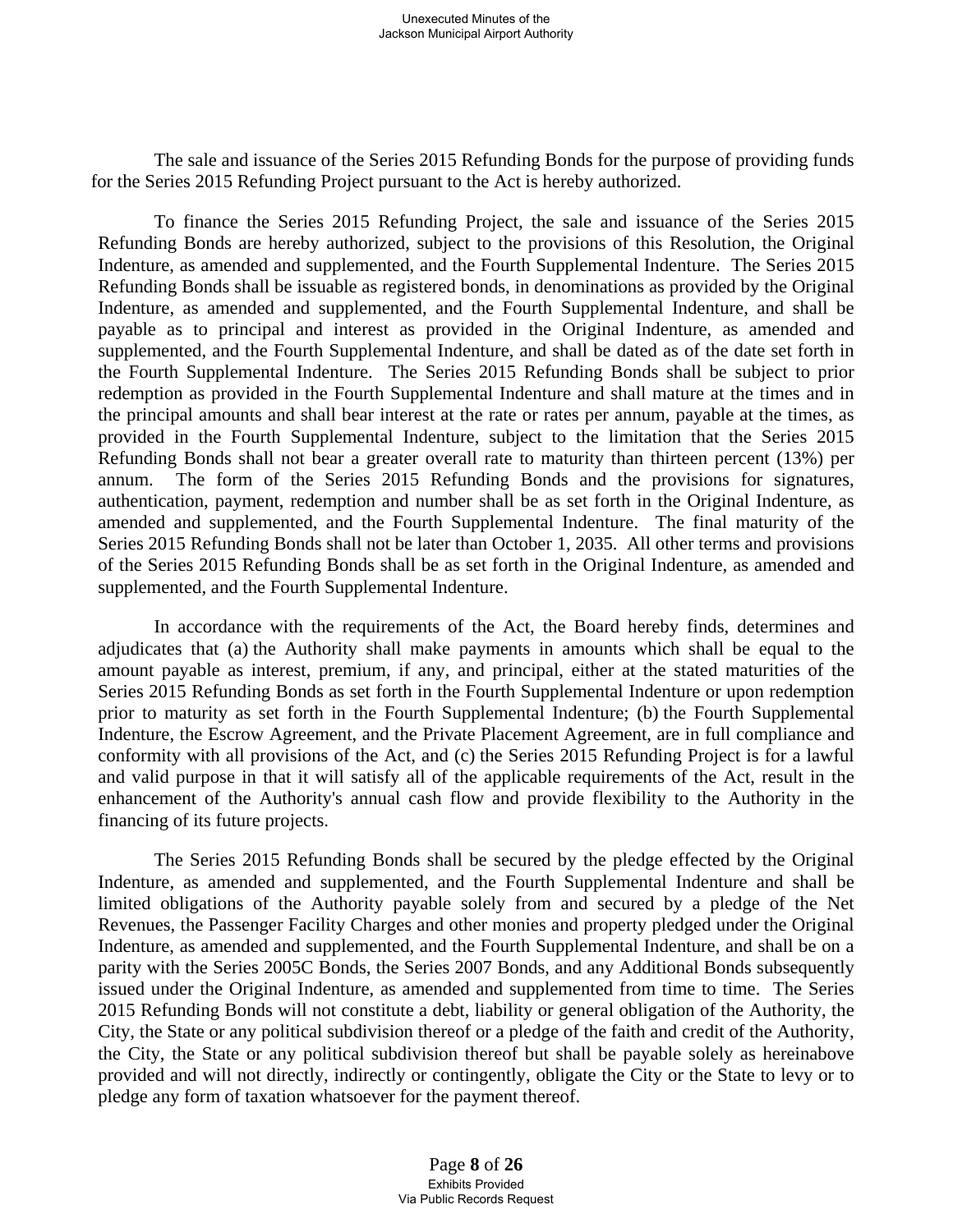The sale and issuance of the Series 2015 Refunding Bonds for the purpose of providing funds for the Series 2015 Refunding Project pursuant to the Act is hereby authorized.

To finance the Series 2015 Refunding Project, the sale and issuance of the Series 2015 Refunding Bonds are hereby authorized, subject to the provisions of this Resolution, the Original Indenture, as amended and supplemented, and the Fourth Supplemental Indenture. The Series 2015 Refunding Bonds shall be issuable as registered bonds, in denominations as provided by the Original Indenture, as amended and supplemented, and the Fourth Supplemental Indenture, and shall be payable as to principal and interest as provided in the Original Indenture, as amended and supplemented, and the Fourth Supplemental Indenture, and shall be dated as of the date set forth in the Fourth Supplemental Indenture. The Series 2015 Refunding Bonds shall be subject to prior redemption as provided in the Fourth Supplemental Indenture and shall mature at the times and in the principal amounts and shall bear interest at the rate or rates per annum, payable at the times, as provided in the Fourth Supplemental Indenture, subject to the limitation that the Series 2015 Refunding Bonds shall not bear a greater overall rate to maturity than thirteen percent (13%) per annum. The form of the Series 2015 Refunding Bonds and the provisions for signatures, authentication, payment, redemption and number shall be as set forth in the Original Indenture, as amended and supplemented, and the Fourth Supplemental Indenture. The final maturity of the Series 2015 Refunding Bonds shall not be later than October 1, 2035. All other terms and provisions of the Series 2015 Refunding Bonds shall be as set forth in the Original Indenture, as amended and supplemented, and the Fourth Supplemental Indenture.

In accordance with the requirements of the Act, the Board hereby finds, determines and adjudicates that (a) the Authority shall make payments in amounts which shall be equal to the amount payable as interest, premium, if any, and principal, either at the stated maturities of the Series 2015 Refunding Bonds as set forth in the Fourth Supplemental Indenture or upon redemption prior to maturity as set forth in the Fourth Supplemental Indenture; (b) the Fourth Supplemental Indenture, the Escrow Agreement, and the Private Placement Agreement, are in full compliance and conformity with all provisions of the Act, and (c) the Series 2015 Refunding Project is for a lawful and valid purpose in that it will satisfy all of the applicable requirements of the Act, result in the enhancement of the Authority's annual cash flow and provide flexibility to the Authority in the financing of its future projects.

The Series 2015 Refunding Bonds shall be secured by the pledge effected by the Original Indenture, as amended and supplemented, and the Fourth Supplemental Indenture and shall be limited obligations of the Authority payable solely from and secured by a pledge of the Net Revenues, the Passenger Facility Charges and other monies and property pledged under the Original Indenture, as amended and supplemented, and the Fourth Supplemental Indenture, and shall be on a parity with the Series 2005C Bonds, the Series 2007 Bonds, and any Additional Bonds subsequently issued under the Original Indenture, as amended and supplemented from time to time. The Series 2015 Refunding Bonds will not constitute a debt, liability or general obligation of the Authority, the City, the State or any political subdivision thereof or a pledge of the faith and credit of the Authority, the City, the State or any political subdivision thereof but shall be payable solely as hereinabove provided and will not directly, indirectly or contingently, obligate the City or the State to levy or to pledge any form of taxation whatsoever for the payment thereof.

> Page **8** of **26** Exhibits Provided Via Public Records Request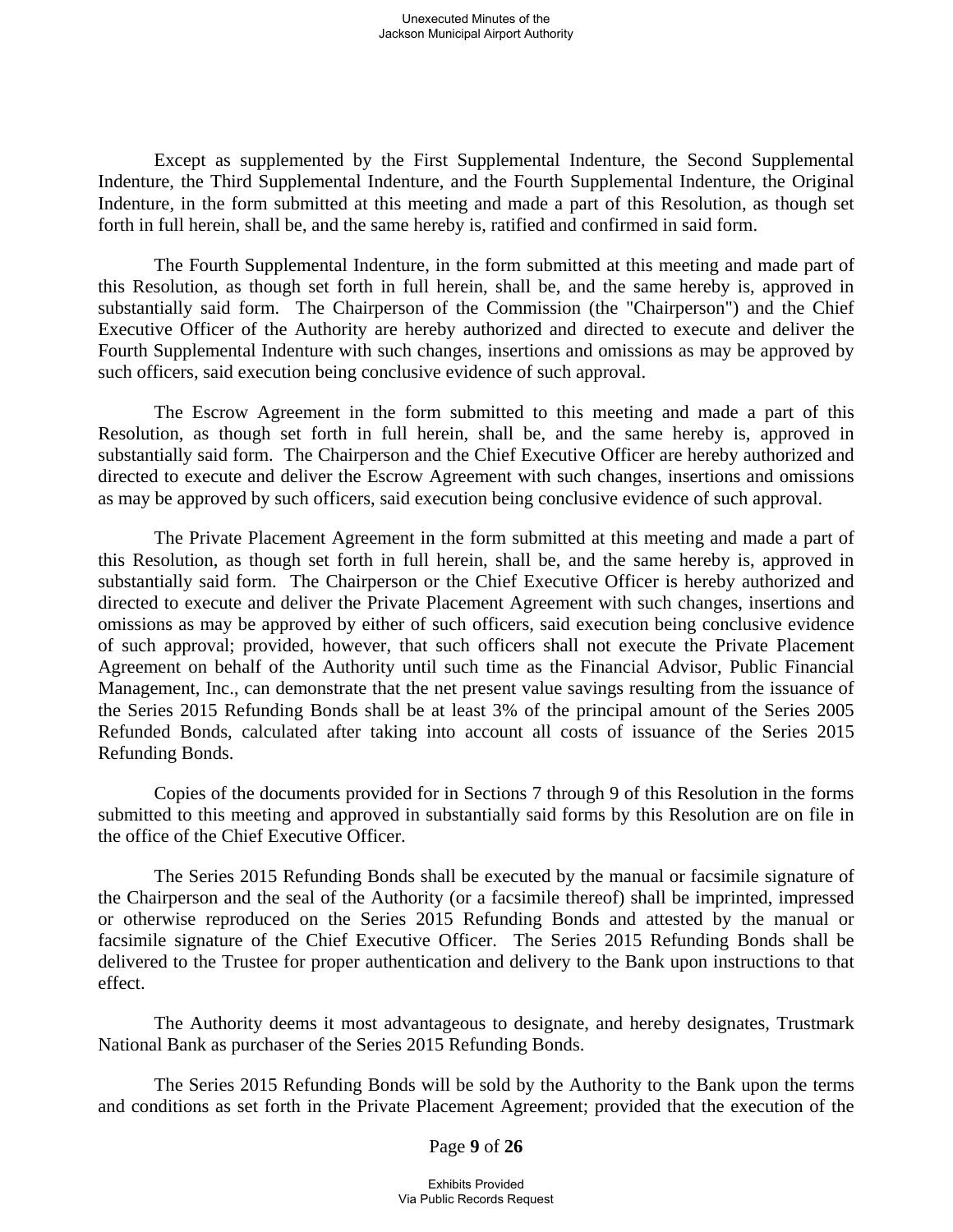Except as supplemented by the First Supplemental Indenture, the Second Supplemental Indenture, the Third Supplemental Indenture, and the Fourth Supplemental Indenture, the Original Indenture, in the form submitted at this meeting and made a part of this Resolution, as though set forth in full herein, shall be, and the same hereby is, ratified and confirmed in said form.

The Fourth Supplemental Indenture, in the form submitted at this meeting and made part of this Resolution, as though set forth in full herein, shall be, and the same hereby is, approved in substantially said form. The Chairperson of the Commission (the "Chairperson") and the Chief Executive Officer of the Authority are hereby authorized and directed to execute and deliver the Fourth Supplemental Indenture with such changes, insertions and omissions as may be approved by such officers, said execution being conclusive evidence of such approval.

The Escrow Agreement in the form submitted to this meeting and made a part of this Resolution, as though set forth in full herein, shall be, and the same hereby is, approved in substantially said form. The Chairperson and the Chief Executive Officer are hereby authorized and directed to execute and deliver the Escrow Agreement with such changes, insertions and omissions as may be approved by such officers, said execution being conclusive evidence of such approval.

The Private Placement Agreement in the form submitted at this meeting and made a part of this Resolution, as though set forth in full herein, shall be, and the same hereby is, approved in substantially said form. The Chairperson or the Chief Executive Officer is hereby authorized and directed to execute and deliver the Private Placement Agreement with such changes, insertions and omissions as may be approved by either of such officers, said execution being conclusive evidence of such approval; provided, however, that such officers shall not execute the Private Placement Agreement on behalf of the Authority until such time as the Financial Advisor, Public Financial Management, Inc., can demonstrate that the net present value savings resulting from the issuance of the Series 2015 Refunding Bonds shall be at least 3% of the principal amount of the Series 2005 Refunded Bonds, calculated after taking into account all costs of issuance of the Series 2015 Refunding Bonds.

Copies of the documents provided for in Sections 7 through 9 of this Resolution in the forms submitted to this meeting and approved in substantially said forms by this Resolution are on file in the office of the Chief Executive Officer.

The Series 2015 Refunding Bonds shall be executed by the manual or facsimile signature of the Chairperson and the seal of the Authority (or a facsimile thereof) shall be imprinted, impressed or otherwise reproduced on the Series 2015 Refunding Bonds and attested by the manual or facsimile signature of the Chief Executive Officer. The Series 2015 Refunding Bonds shall be delivered to the Trustee for proper authentication and delivery to the Bank upon instructions to that effect.

The Authority deems it most advantageous to designate, and hereby designates, Trustmark National Bank as purchaser of the Series 2015 Refunding Bonds.

The Series 2015 Refunding Bonds will be sold by the Authority to the Bank upon the terms and conditions as set forth in the Private Placement Agreement; provided that the execution of the

Page **9** of **26**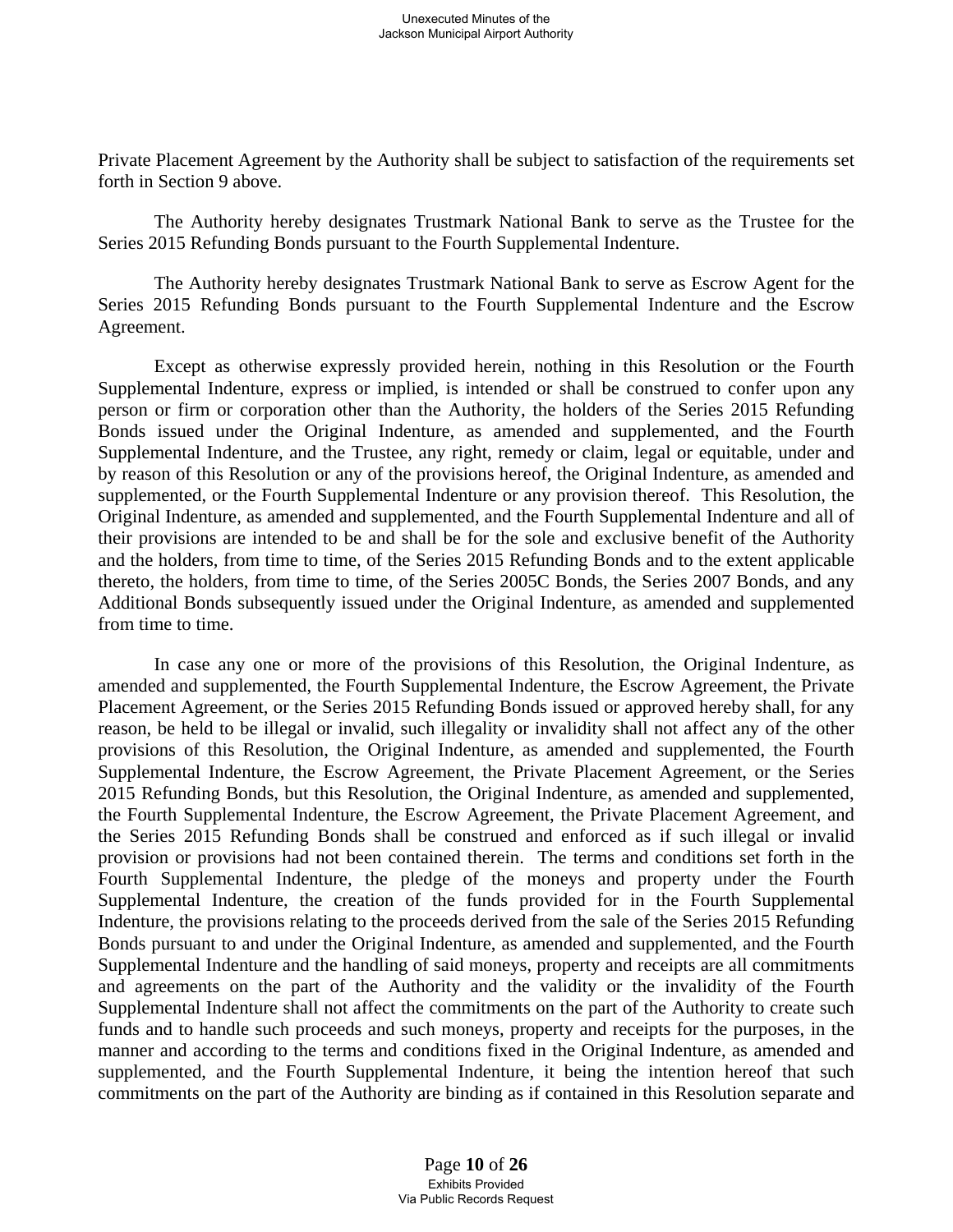Private Placement Agreement by the Authority shall be subject to satisfaction of the requirements set forth in Section 9 above.

The Authority hereby designates Trustmark National Bank to serve as the Trustee for the Series 2015 Refunding Bonds pursuant to the Fourth Supplemental Indenture.

The Authority hereby designates Trustmark National Bank to serve as Escrow Agent for the Series 2015 Refunding Bonds pursuant to the Fourth Supplemental Indenture and the Escrow Agreement.

Except as otherwise expressly provided herein, nothing in this Resolution or the Fourth Supplemental Indenture, express or implied, is intended or shall be construed to confer upon any person or firm or corporation other than the Authority, the holders of the Series 2015 Refunding Bonds issued under the Original Indenture, as amended and supplemented, and the Fourth Supplemental Indenture, and the Trustee, any right, remedy or claim, legal or equitable, under and by reason of this Resolution or any of the provisions hereof, the Original Indenture, as amended and supplemented, or the Fourth Supplemental Indenture or any provision thereof. This Resolution, the Original Indenture, as amended and supplemented, and the Fourth Supplemental Indenture and all of their provisions are intended to be and shall be for the sole and exclusive benefit of the Authority and the holders, from time to time, of the Series 2015 Refunding Bonds and to the extent applicable thereto, the holders, from time to time, of the Series 2005C Bonds, the Series 2007 Bonds, and any Additional Bonds subsequently issued under the Original Indenture, as amended and supplemented from time to time.

In case any one or more of the provisions of this Resolution, the Original Indenture, as amended and supplemented, the Fourth Supplemental Indenture, the Escrow Agreement, the Private Placement Agreement, or the Series 2015 Refunding Bonds issued or approved hereby shall, for any reason, be held to be illegal or invalid, such illegality or invalidity shall not affect any of the other provisions of this Resolution, the Original Indenture, as amended and supplemented, the Fourth Supplemental Indenture, the Escrow Agreement, the Private Placement Agreement, or the Series 2015 Refunding Bonds, but this Resolution, the Original Indenture, as amended and supplemented, the Fourth Supplemental Indenture, the Escrow Agreement, the Private Placement Agreement, and the Series 2015 Refunding Bonds shall be construed and enforced as if such illegal or invalid provision or provisions had not been contained therein. The terms and conditions set forth in the Fourth Supplemental Indenture, the pledge of the moneys and property under the Fourth Supplemental Indenture, the creation of the funds provided for in the Fourth Supplemental Indenture, the provisions relating to the proceeds derived from the sale of the Series 2015 Refunding Bonds pursuant to and under the Original Indenture, as amended and supplemented, and the Fourth Supplemental Indenture and the handling of said moneys, property and receipts are all commitments and agreements on the part of the Authority and the validity or the invalidity of the Fourth Supplemental Indenture shall not affect the commitments on the part of the Authority to create such funds and to handle such proceeds and such moneys, property and receipts for the purposes, in the manner and according to the terms and conditions fixed in the Original Indenture, as amended and supplemented, and the Fourth Supplemental Indenture, it being the intention hereof that such commitments on the part of the Authority are binding as if contained in this Resolution separate and

> Page **10** of **26** Exhibits Provided Via Public Records Request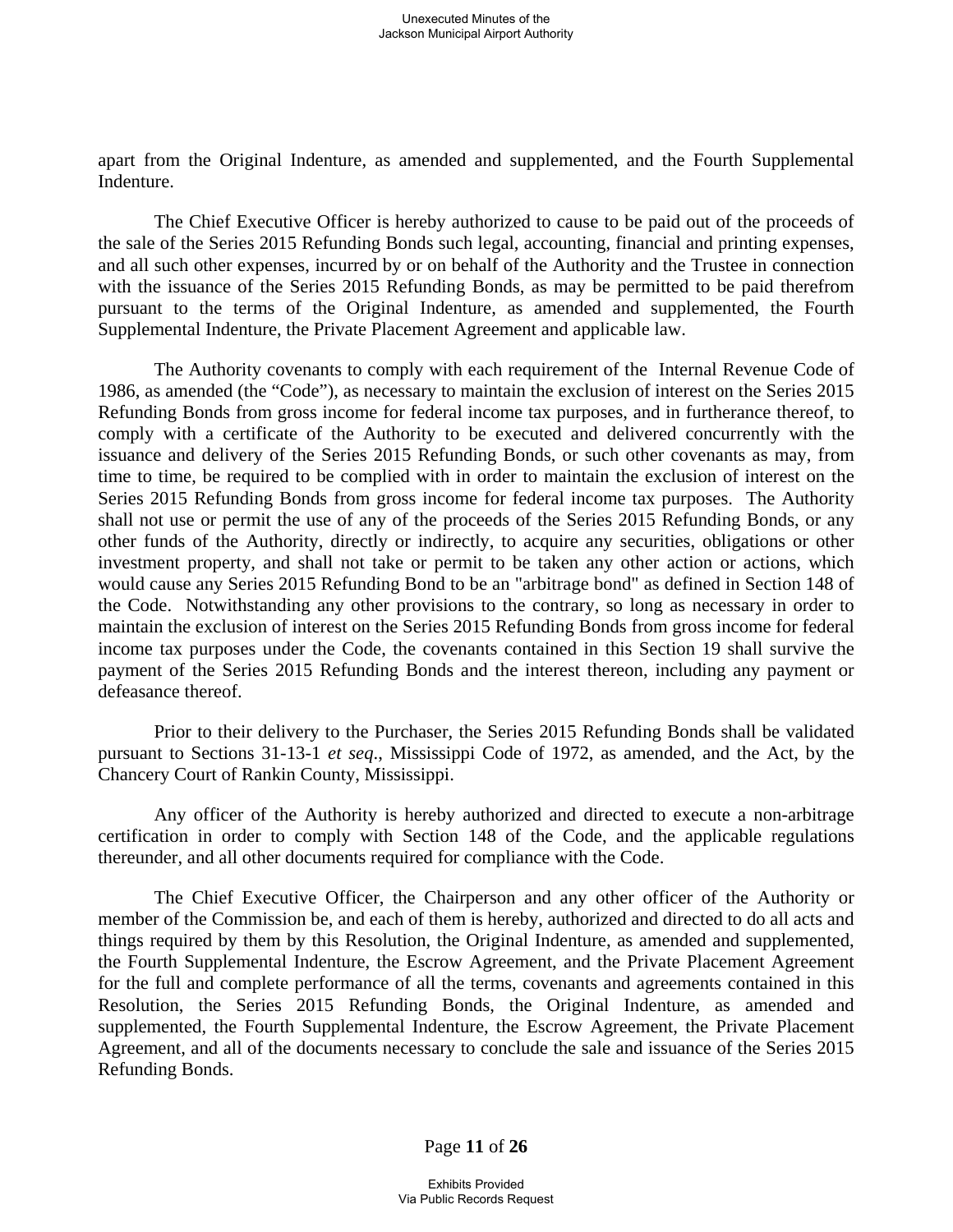apart from the Original Indenture, as amended and supplemented, and the Fourth Supplemental Indenture.

The Chief Executive Officer is hereby authorized to cause to be paid out of the proceeds of the sale of the Series 2015 Refunding Bonds such legal, accounting, financial and printing expenses, and all such other expenses, incurred by or on behalf of the Authority and the Trustee in connection with the issuance of the Series 2015 Refunding Bonds, as may be permitted to be paid therefrom pursuant to the terms of the Original Indenture, as amended and supplemented, the Fourth Supplemental Indenture, the Private Placement Agreement and applicable law.

The Authority covenants to comply with each requirement of the Internal Revenue Code of 1986, as amended (the "Code"), as necessary to maintain the exclusion of interest on the Series 2015 Refunding Bonds from gross income for federal income tax purposes, and in furtherance thereof, to comply with a certificate of the Authority to be executed and delivered concurrently with the issuance and delivery of the Series 2015 Refunding Bonds, or such other covenants as may, from time to time, be required to be complied with in order to maintain the exclusion of interest on the Series 2015 Refunding Bonds from gross income for federal income tax purposes. The Authority shall not use or permit the use of any of the proceeds of the Series 2015 Refunding Bonds, or any other funds of the Authority, directly or indirectly, to acquire any securities, obligations or other investment property, and shall not take or permit to be taken any other action or actions, which would cause any Series 2015 Refunding Bond to be an "arbitrage bond" as defined in Section 148 of the Code. Notwithstanding any other provisions to the contrary, so long as necessary in order to maintain the exclusion of interest on the Series 2015 Refunding Bonds from gross income for federal income tax purposes under the Code, the covenants contained in this Section 19 shall survive the payment of the Series 2015 Refunding Bonds and the interest thereon, including any payment or defeasance thereof.

Prior to their delivery to the Purchaser, the Series 2015 Refunding Bonds shall be validated pursuant to Sections 31-13-1 *et seq*., Mississippi Code of 1972, as amended, and the Act, by the Chancery Court of Rankin County, Mississippi.

Any officer of the Authority is hereby authorized and directed to execute a non-arbitrage certification in order to comply with Section 148 of the Code, and the applicable regulations thereunder, and all other documents required for compliance with the Code.

The Chief Executive Officer, the Chairperson and any other officer of the Authority or member of the Commission be, and each of them is hereby, authorized and directed to do all acts and things required by them by this Resolution, the Original Indenture, as amended and supplemented, the Fourth Supplemental Indenture, the Escrow Agreement, and the Private Placement Agreement for the full and complete performance of all the terms, covenants and agreements contained in this Resolution, the Series 2015 Refunding Bonds, the Original Indenture, as amended and supplemented, the Fourth Supplemental Indenture, the Escrow Agreement, the Private Placement Agreement, and all of the documents necessary to conclude the sale and issuance of the Series 2015 Refunding Bonds.

Page **11** of **26**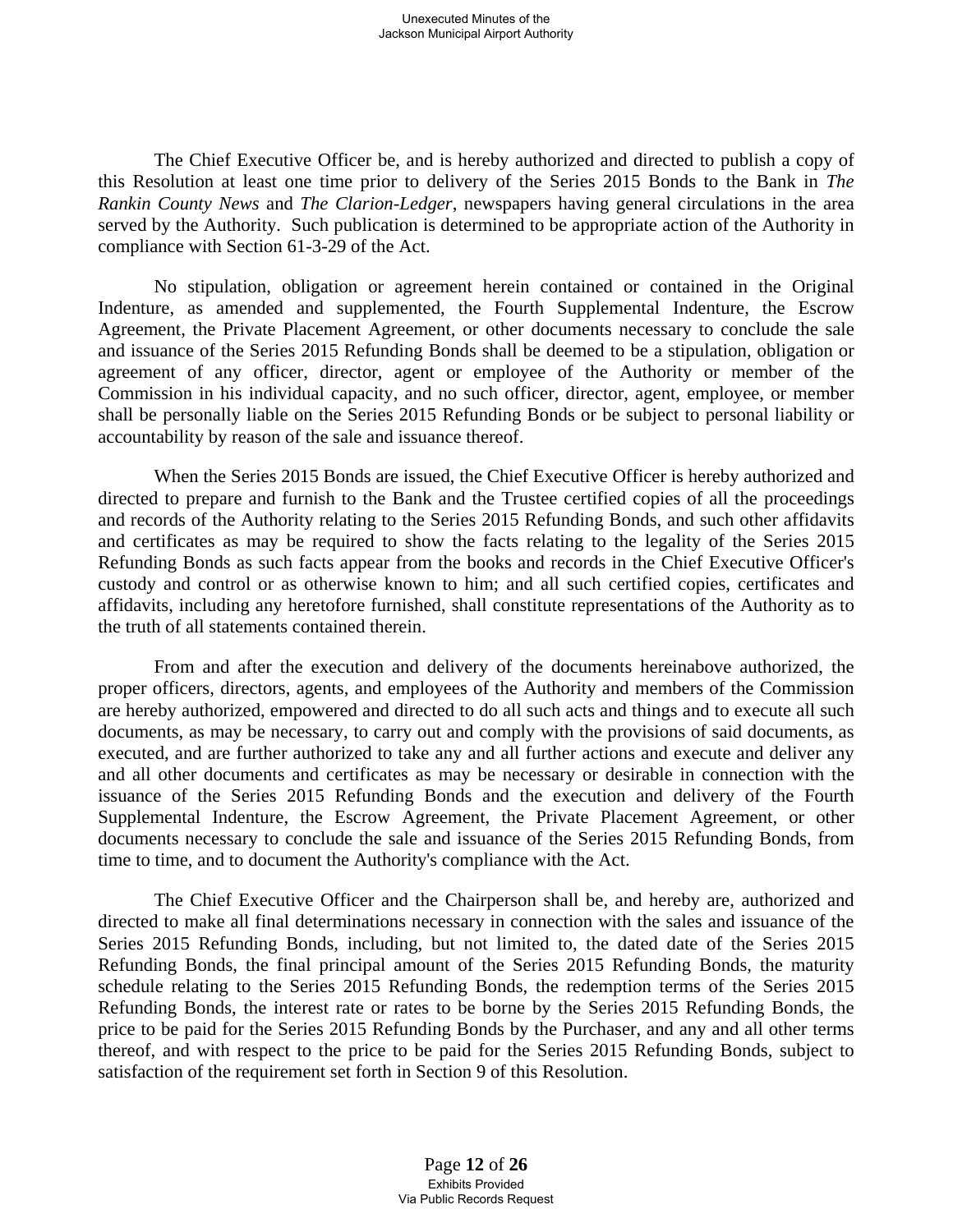The Chief Executive Officer be, and is hereby authorized and directed to publish a copy of this Resolution at least one time prior to delivery of the Series 2015 Bonds to the Bank in *The Rankin County News* and *The Clarion-Ledger*, newspapers having general circulations in the area served by the Authority. Such publication is determined to be appropriate action of the Authority in compliance with Section 61-3-29 of the Act.

No stipulation, obligation or agreement herein contained or contained in the Original Indenture, as amended and supplemented, the Fourth Supplemental Indenture, the Escrow Agreement, the Private Placement Agreement, or other documents necessary to conclude the sale and issuance of the Series 2015 Refunding Bonds shall be deemed to be a stipulation, obligation or agreement of any officer, director, agent or employee of the Authority or member of the Commission in his individual capacity, and no such officer, director, agent, employee, or member shall be personally liable on the Series 2015 Refunding Bonds or be subject to personal liability or accountability by reason of the sale and issuance thereof.

When the Series 2015 Bonds are issued, the Chief Executive Officer is hereby authorized and directed to prepare and furnish to the Bank and the Trustee certified copies of all the proceedings and records of the Authority relating to the Series 2015 Refunding Bonds, and such other affidavits and certificates as may be required to show the facts relating to the legality of the Series 2015 Refunding Bonds as such facts appear from the books and records in the Chief Executive Officer's custody and control or as otherwise known to him; and all such certified copies, certificates and affidavits, including any heretofore furnished, shall constitute representations of the Authority as to the truth of all statements contained therein.

From and after the execution and delivery of the documents hereinabove authorized, the proper officers, directors, agents, and employees of the Authority and members of the Commission are hereby authorized, empowered and directed to do all such acts and things and to execute all such documents, as may be necessary, to carry out and comply with the provisions of said documents, as executed, and are further authorized to take any and all further actions and execute and deliver any and all other documents and certificates as may be necessary or desirable in connection with the issuance of the Series 2015 Refunding Bonds and the execution and delivery of the Fourth Supplemental Indenture, the Escrow Agreement, the Private Placement Agreement, or other documents necessary to conclude the sale and issuance of the Series 2015 Refunding Bonds, from time to time, and to document the Authority's compliance with the Act.

The Chief Executive Officer and the Chairperson shall be, and hereby are, authorized and directed to make all final determinations necessary in connection with the sales and issuance of the Series 2015 Refunding Bonds, including, but not limited to, the dated date of the Series 2015 Refunding Bonds, the final principal amount of the Series 2015 Refunding Bonds, the maturity schedule relating to the Series 2015 Refunding Bonds, the redemption terms of the Series 2015 Refunding Bonds, the interest rate or rates to be borne by the Series 2015 Refunding Bonds, the price to be paid for the Series 2015 Refunding Bonds by the Purchaser, and any and all other terms thereof, and with respect to the price to be paid for the Series 2015 Refunding Bonds, subject to satisfaction of the requirement set forth in Section 9 of this Resolution.

> Page **12** of **26** Exhibits Provided Via Public Records Request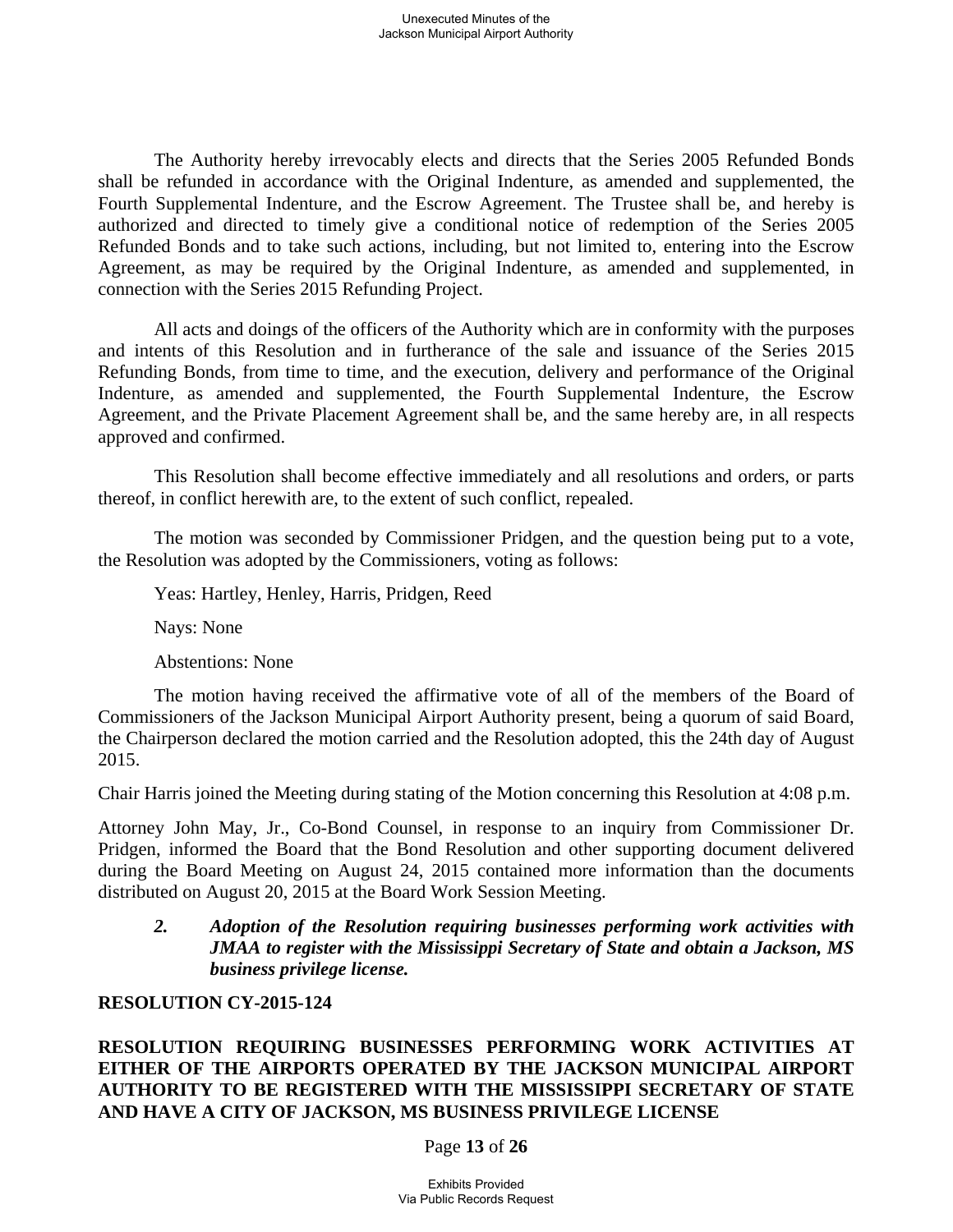The Authority hereby irrevocably elects and directs that the Series 2005 Refunded Bonds shall be refunded in accordance with the Original Indenture, as amended and supplemented, the Fourth Supplemental Indenture, and the Escrow Agreement. The Trustee shall be, and hereby is authorized and directed to timely give a conditional notice of redemption of the Series 2005 Refunded Bonds and to take such actions, including, but not limited to, entering into the Escrow Agreement, as may be required by the Original Indenture, as amended and supplemented, in connection with the Series 2015 Refunding Project.

All acts and doings of the officers of the Authority which are in conformity with the purposes and intents of this Resolution and in furtherance of the sale and issuance of the Series 2015 Refunding Bonds, from time to time, and the execution, delivery and performance of the Original Indenture, as amended and supplemented, the Fourth Supplemental Indenture, the Escrow Agreement, and the Private Placement Agreement shall be, and the same hereby are, in all respects approved and confirmed.

This Resolution shall become effective immediately and all resolutions and orders, or parts thereof, in conflict herewith are, to the extent of such conflict, repealed.

The motion was seconded by Commissioner Pridgen, and the question being put to a vote, the Resolution was adopted by the Commissioners, voting as follows:

Yeas: Hartley, Henley, Harris, Pridgen, Reed

Nays: None

Abstentions: None

The motion having received the affirmative vote of all of the members of the Board of Commissioners of the Jackson Municipal Airport Authority present, being a quorum of said Board, the Chairperson declared the motion carried and the Resolution adopted, this the 24th day of August 2015.

Chair Harris joined the Meeting during stating of the Motion concerning this Resolution at 4:08 p.m.

Attorney John May, Jr., Co-Bond Counsel, in response to an inquiry from Commissioner Dr. Pridgen, informed the Board that the Bond Resolution and other supporting document delivered during the Board Meeting on August 24, 2015 contained more information than the documents distributed on August 20, 2015 at the Board Work Session Meeting.

## *2. Adoption of the Resolution requiring businesses performing work activities with JMAA to register with the Mississippi Secretary of State and obtain a Jackson, MS business privilege license.*

#### **RESOLUTION CY-2015-124**

**RESOLUTION REQUIRING BUSINESSES PERFORMING WORK ACTIVITIES AT EITHER OF THE AIRPORTS OPERATED BY THE JACKSON MUNICIPAL AIRPORT AUTHORITY TO BE REGISTERED WITH THE MISSISSIPPI SECRETARY OF STATE AND HAVE A CITY OF JACKSON, MS BUSINESS PRIVILEGE LICENSE** 

Page **13** of **26**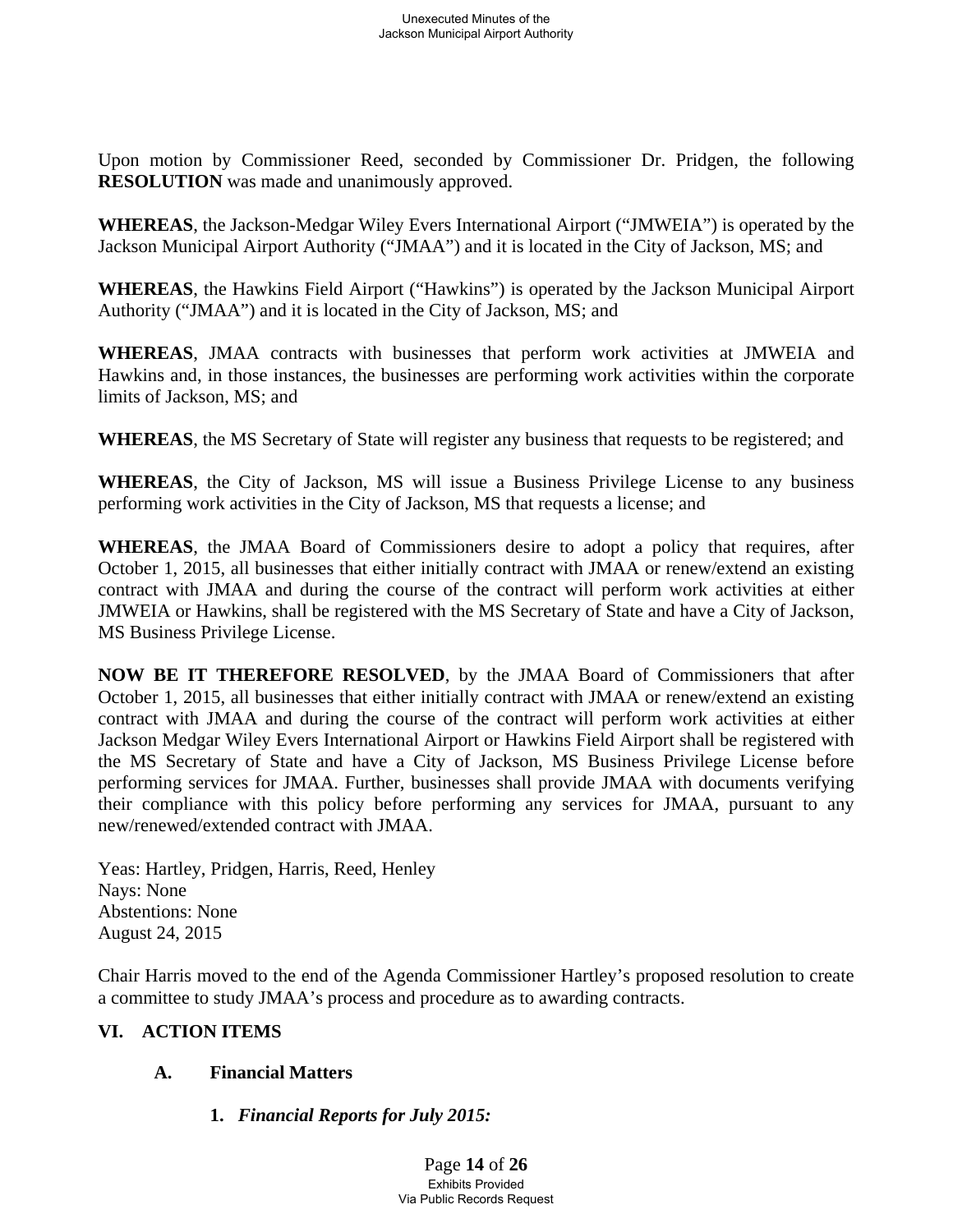Upon motion by Commissioner Reed, seconded by Commissioner Dr. Pridgen, the following **RESOLUTION** was made and unanimously approved.

**WHEREAS**, the Jackson-Medgar Wiley Evers International Airport ("JMWEIA") is operated by the Jackson Municipal Airport Authority ("JMAA") and it is located in the City of Jackson, MS; and

**WHEREAS**, the Hawkins Field Airport ("Hawkins") is operated by the Jackson Municipal Airport Authority ("JMAA") and it is located in the City of Jackson, MS; and

**WHEREAS**, JMAA contracts with businesses that perform work activities at JMWEIA and Hawkins and, in those instances, the businesses are performing work activities within the corporate limits of Jackson, MS; and

**WHEREAS**, the MS Secretary of State will register any business that requests to be registered; and

**WHEREAS**, the City of Jackson, MS will issue a Business Privilege License to any business performing work activities in the City of Jackson, MS that requests a license; and

**WHEREAS**, the JMAA Board of Commissioners desire to adopt a policy that requires, after October 1, 2015, all businesses that either initially contract with JMAA or renew/extend an existing contract with JMAA and during the course of the contract will perform work activities at either JMWEIA or Hawkins, shall be registered with the MS Secretary of State and have a City of Jackson, MS Business Privilege License.

**NOW BE IT THEREFORE RESOLVED**, by the JMAA Board of Commissioners that after October 1, 2015, all businesses that either initially contract with JMAA or renew/extend an existing contract with JMAA and during the course of the contract will perform work activities at either Jackson Medgar Wiley Evers International Airport or Hawkins Field Airport shall be registered with the MS Secretary of State and have a City of Jackson, MS Business Privilege License before performing services for JMAA. Further, businesses shall provide JMAA with documents verifying their compliance with this policy before performing any services for JMAA, pursuant to any new/renewed/extended contract with JMAA.

Yeas: Hartley, Pridgen, Harris, Reed, Henley Nays: None Abstentions: None August 24, 2015

Chair Harris moved to the end of the Agenda Commissioner Hartley's proposed resolution to create a committee to study JMAA's process and procedure as to awarding contracts.

# **VI. ACTION ITEMS**

# **A. Financial Matters**

**1.** *Financial Reports for July 2015:*

Page **14** of **26** Exhibits Provided Via Public Records Request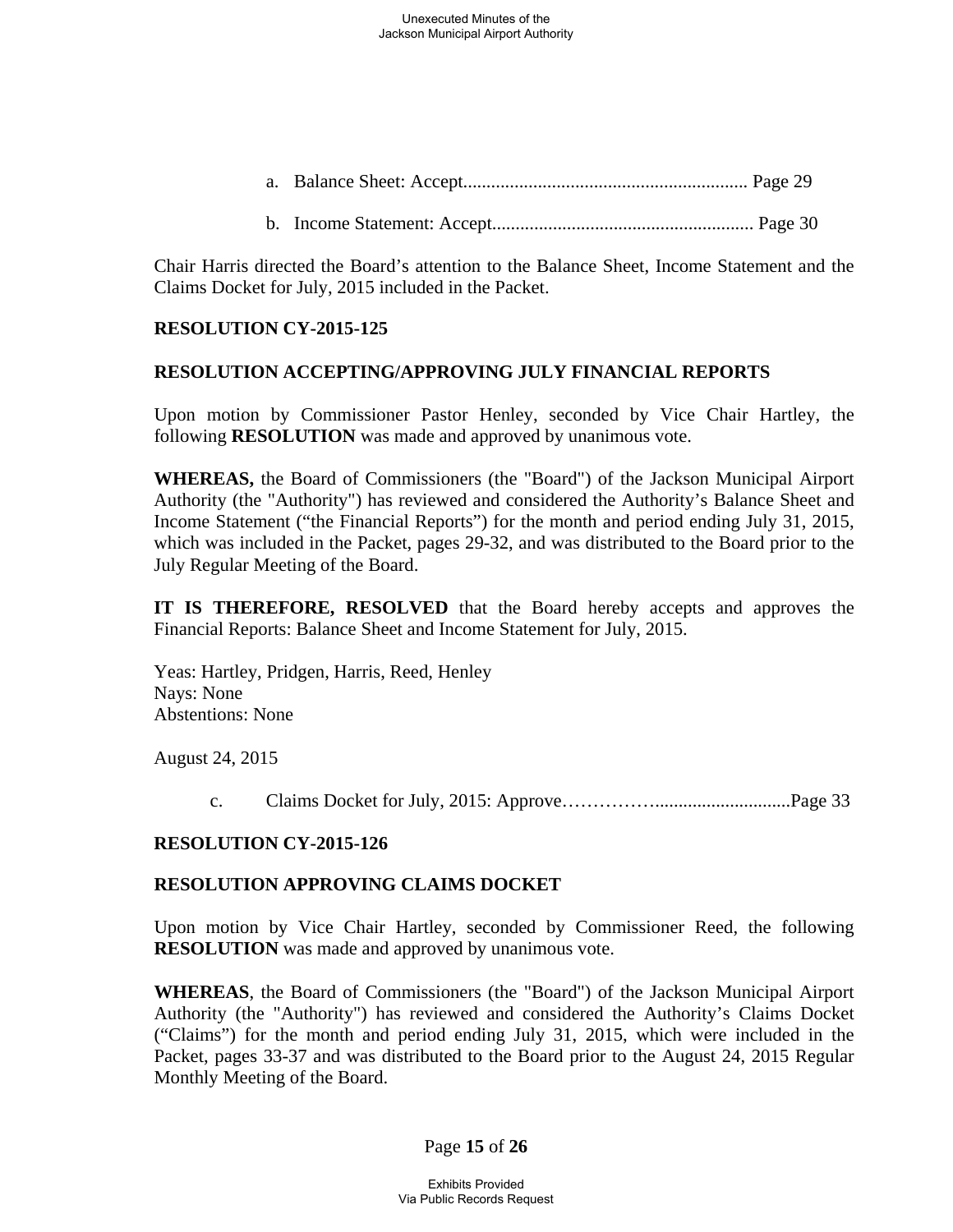Chair Harris directed the Board's attention to the Balance Sheet, Income Statement and the Claims Docket for July, 2015 included in the Packet.

## **RESOLUTION CY-2015-125**

## **RESOLUTION ACCEPTING/APPROVING JULY FINANCIAL REPORTS**

Upon motion by Commissioner Pastor Henley, seconded by Vice Chair Hartley, the following **RESOLUTION** was made and approved by unanimous vote.

**WHEREAS,** the Board of Commissioners (the "Board") of the Jackson Municipal Airport Authority (the "Authority") has reviewed and considered the Authority's Balance Sheet and Income Statement ("the Financial Reports") for the month and period ending July 31, 2015, which was included in the Packet, pages 29-32, and was distributed to the Board prior to the July Regular Meeting of the Board.

**IT IS THEREFORE, RESOLVED** that the Board hereby accepts and approves the Financial Reports: Balance Sheet and Income Statement for July, 2015.

Yeas: Hartley, Pridgen, Harris, Reed, Henley Nays: None Abstentions: None

August 24, 2015

c. Claims Docket for July, 2015: Approve…………….............................Page 33

## **RESOLUTION CY-2015-126**

#### **RESOLUTION APPROVING CLAIMS DOCKET**

Upon motion by Vice Chair Hartley, seconded by Commissioner Reed, the following **RESOLUTION** was made and approved by unanimous vote.

**WHEREAS**, the Board of Commissioners (the "Board") of the Jackson Municipal Airport Authority (the "Authority") has reviewed and considered the Authority's Claims Docket ("Claims") for the month and period ending July 31, 2015, which were included in the Packet, pages 33-37 and was distributed to the Board prior to the August 24, 2015 Regular Monthly Meeting of the Board.

## Page **15** of **26**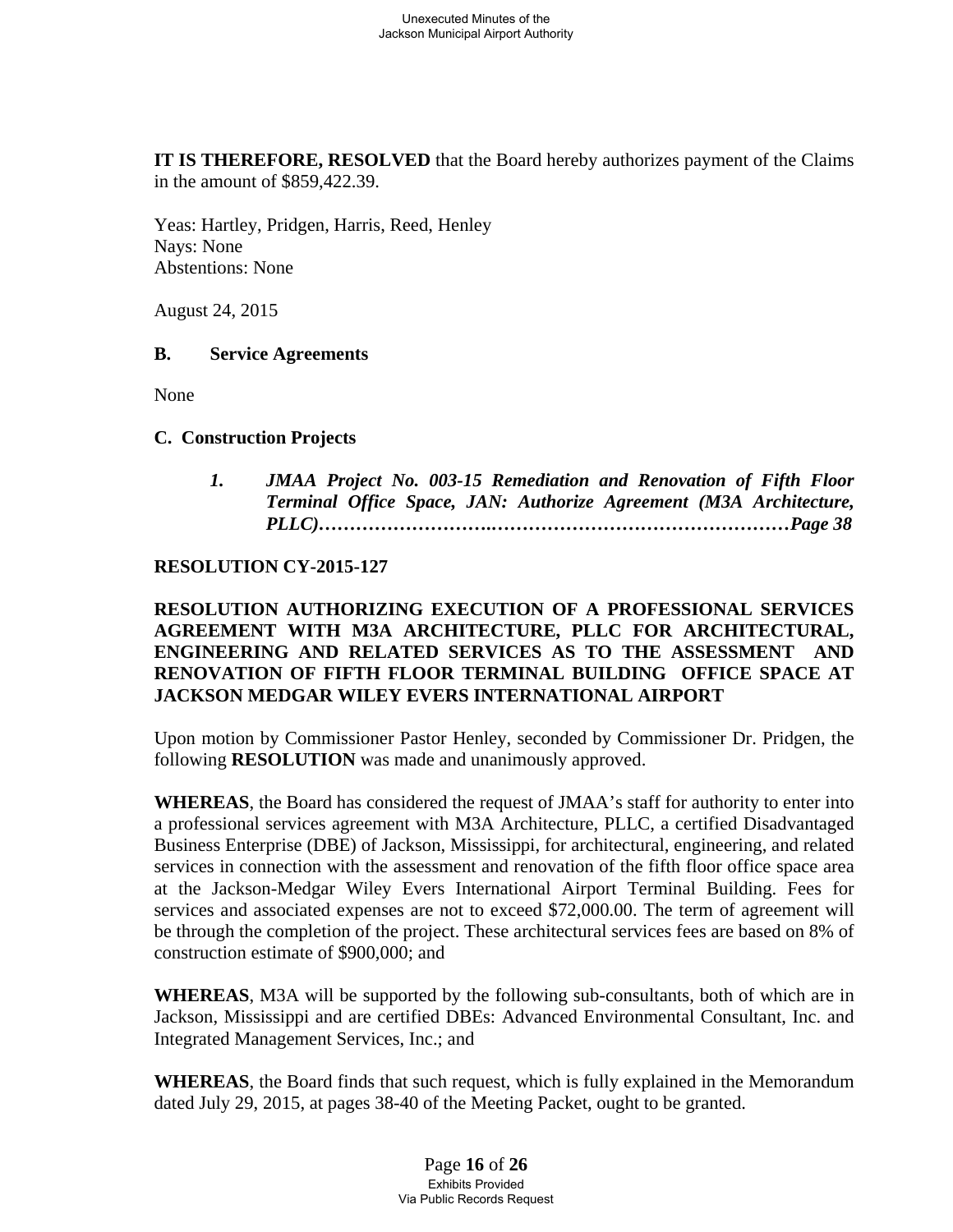**IT IS THEREFORE, RESOLVED** that the Board hereby authorizes payment of the Claims in the amount of \$859,422.39.

Yeas: Hartley, Pridgen, Harris, Reed, Henley Nays: None Abstentions: None

August 24, 2015

#### **B. Service Agreements**

None

#### **C. Construction Projects**

*1. JMAA Project No. 003-15 Remediation and Renovation of Fifth Floor Terminal Office Space, JAN: Authorize Agreement (M3A Architecture, PLLC)……………………….…………………………………………Page 38* 

#### **RESOLUTION CY-2015-127**

## **RESOLUTION AUTHORIZING EXECUTION OF A PROFESSIONAL SERVICES AGREEMENT WITH M3A ARCHITECTURE, PLLC FOR ARCHITECTURAL, ENGINEERING AND RELATED SERVICES AS TO THE ASSESSMENT AND RENOVATION OF FIFTH FLOOR TERMINAL BUILDING OFFICE SPACE AT JACKSON MEDGAR WILEY EVERS INTERNATIONAL AIRPORT**

Upon motion by Commissioner Pastor Henley, seconded by Commissioner Dr. Pridgen, the following **RESOLUTION** was made and unanimously approved.

**WHEREAS**, the Board has considered the request of JMAA's staff for authority to enter into a professional services agreement with M3A Architecture, PLLC, a certified Disadvantaged Business Enterprise (DBE) of Jackson, Mississippi, for architectural, engineering, and related services in connection with the assessment and renovation of the fifth floor office space area at the Jackson-Medgar Wiley Evers International Airport Terminal Building. Fees for services and associated expenses are not to exceed \$72,000.00. The term of agreement will be through the completion of the project. These architectural services fees are based on 8% of construction estimate of \$900,000; and

**WHEREAS**, M3A will be supported by the following sub-consultants, both of which are in Jackson, Mississippi and are certified DBEs: Advanced Environmental Consultant, Inc. and Integrated Management Services, Inc.; and

**WHEREAS**, the Board finds that such request, which is fully explained in the Memorandum dated July 29, 2015, at pages 38-40 of the Meeting Packet, ought to be granted.

> Page **16** of **26** Exhibits Provided Via Public Records Request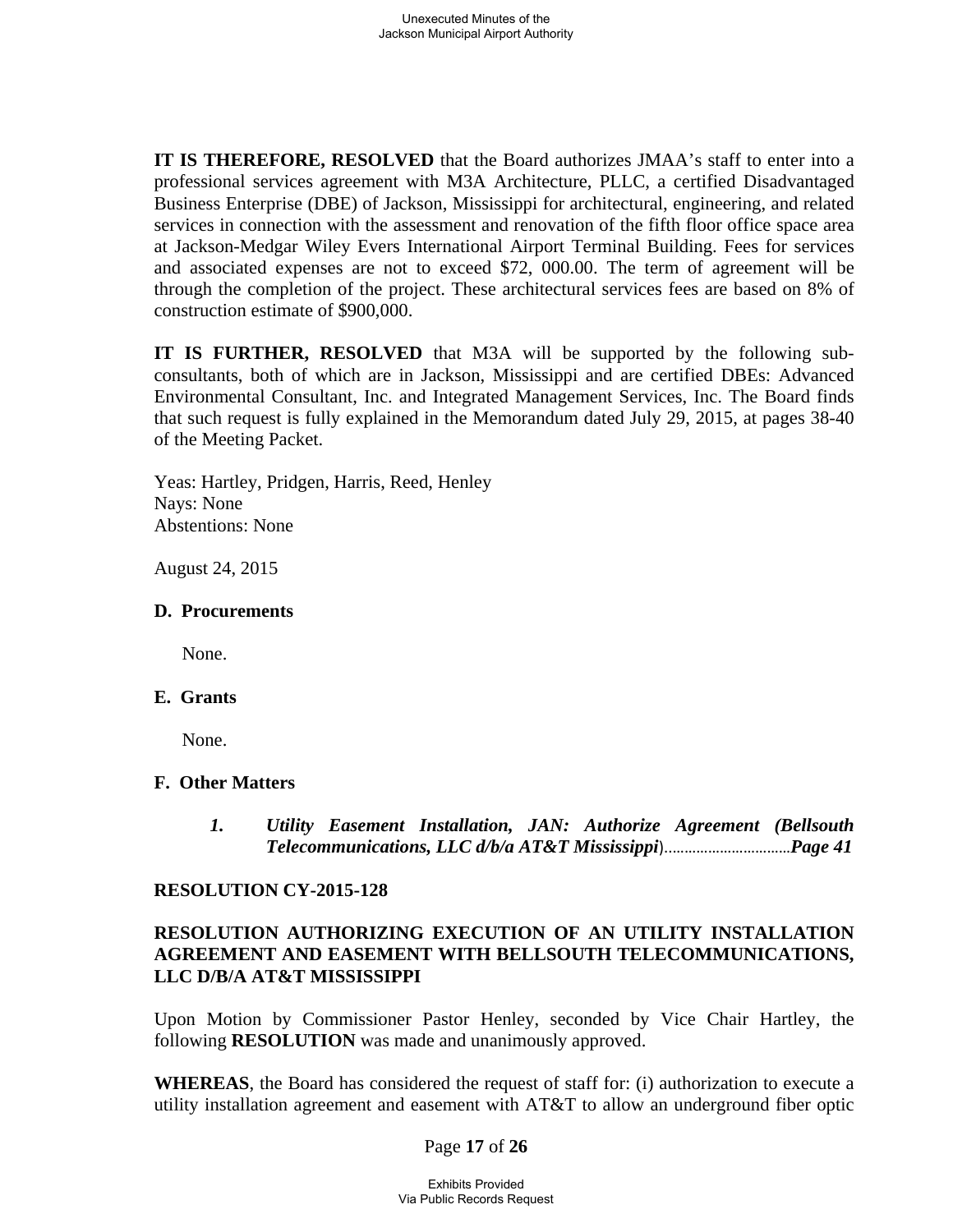**IT IS THEREFORE, RESOLVED** that the Board authorizes JMAA's staff to enter into a professional services agreement with M3A Architecture, PLLC, a certified Disadvantaged Business Enterprise (DBE) of Jackson, Mississippi for architectural, engineering, and related services in connection with the assessment and renovation of the fifth floor office space area at Jackson-Medgar Wiley Evers International Airport Terminal Building. Fees for services and associated expenses are not to exceed \$72, 000.00. The term of agreement will be through the completion of the project. These architectural services fees are based on 8% of construction estimate of \$900,000.

**IT IS FURTHER, RESOLVED** that M3A will be supported by the following subconsultants, both of which are in Jackson, Mississippi and are certified DBEs: Advanced Environmental Consultant, Inc. and Integrated Management Services, Inc. The Board finds that such request is fully explained in the Memorandum dated July 29, 2015, at pages 38-40 of the Meeting Packet.

Yeas: Hartley, Pridgen, Harris, Reed, Henley Nays: None Abstentions: None

August 24, 2015

#### **D. Procurements**

None.

#### **E. Grants**

None.

#### **F. Other Matters**

*1. Utility Easement Installation, JAN: Authorize Agreement (Bellsouth Telecommunications, LLC d/b/a AT&T Mississippi*)..…………………………*Page 41*

#### **RESOLUTION CY-2015-128**

## **RESOLUTION AUTHORIZING EXECUTION OF AN UTILITY INSTALLATION AGREEMENT AND EASEMENT WITH BELLSOUTH TELECOMMUNICATIONS, LLC D/B/A AT&T MISSISSIPPI**

Upon Motion by Commissioner Pastor Henley, seconded by Vice Chair Hartley, the following **RESOLUTION** was made and unanimously approved.

**WHEREAS**, the Board has considered the request of staff for: (i) authorization to execute a utility installation agreement and easement with AT&T to allow an underground fiber optic

#### Page **17** of **26**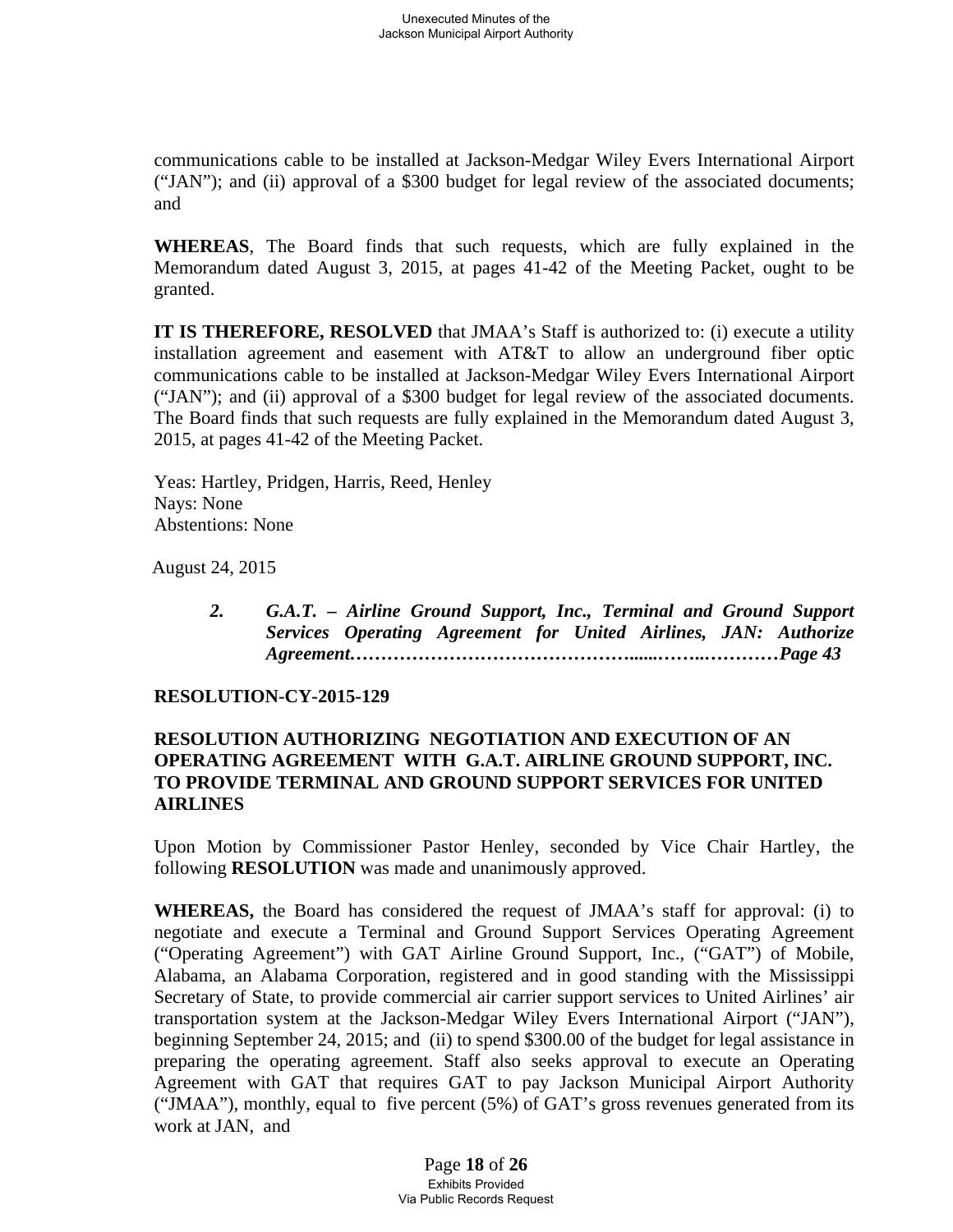communications cable to be installed at Jackson-Medgar Wiley Evers International Airport ("JAN"); and (ii) approval of a \$300 budget for legal review of the associated documents; and

**WHEREAS**, The Board finds that such requests, which are fully explained in the Memorandum dated August 3, 2015, at pages 41-42 of the Meeting Packet, ought to be granted.

**IT IS THEREFORE, RESOLVED** that JMAA's Staff is authorized to: (i) execute a utility installation agreement and easement with AT&T to allow an underground fiber optic communications cable to be installed at Jackson-Medgar Wiley Evers International Airport ("JAN"); and (ii) approval of a \$300 budget for legal review of the associated documents. The Board finds that such requests are fully explained in the Memorandum dated August 3, 2015, at pages 41-42 of the Meeting Packet.

Yeas: Hartley, Pridgen, Harris, Reed, Henley Nays: None Abstentions: None

August 24, 2015

*2. G.A.T. – Airline Ground Support, Inc., Terminal and Ground Support Services Operating Agreement for United Airlines, JAN: Authorize Agreement………………………………………......……..…………Page 43* 

## **RESOLUTION-CY-2015-129**

## **RESOLUTION AUTHORIZING NEGOTIATION AND EXECUTION OF AN OPERATING AGREEMENT WITH G.A.T. AIRLINE GROUND SUPPORT, INC. TO PROVIDE TERMINAL AND GROUND SUPPORT SERVICES FOR UNITED AIRLINES**

Upon Motion by Commissioner Pastor Henley, seconded by Vice Chair Hartley, the following **RESOLUTION** was made and unanimously approved.

**WHEREAS,** the Board has considered the request of JMAA's staff for approval: (i) to negotiate and execute a Terminal and Ground Support Services Operating Agreement ("Operating Agreement") with GAT Airline Ground Support, Inc., ("GAT") of Mobile, Alabama, an Alabama Corporation, registered and in good standing with the Mississippi Secretary of State, to provide commercial air carrier support services to United Airlines' air transportation system at the Jackson-Medgar Wiley Evers International Airport ("JAN"), beginning September 24, 2015; and (ii) to spend \$300.00 of the budget for legal assistance in preparing the operating agreement. Staff also seeks approval to execute an Operating Agreement with GAT that requires GAT to pay Jackson Municipal Airport Authority ("JMAA"), monthly, equal to five percent (5%) of GAT's gross revenues generated from its work at JAN, and

> Page **18** of **26** Exhibits Provided Via Public Records Request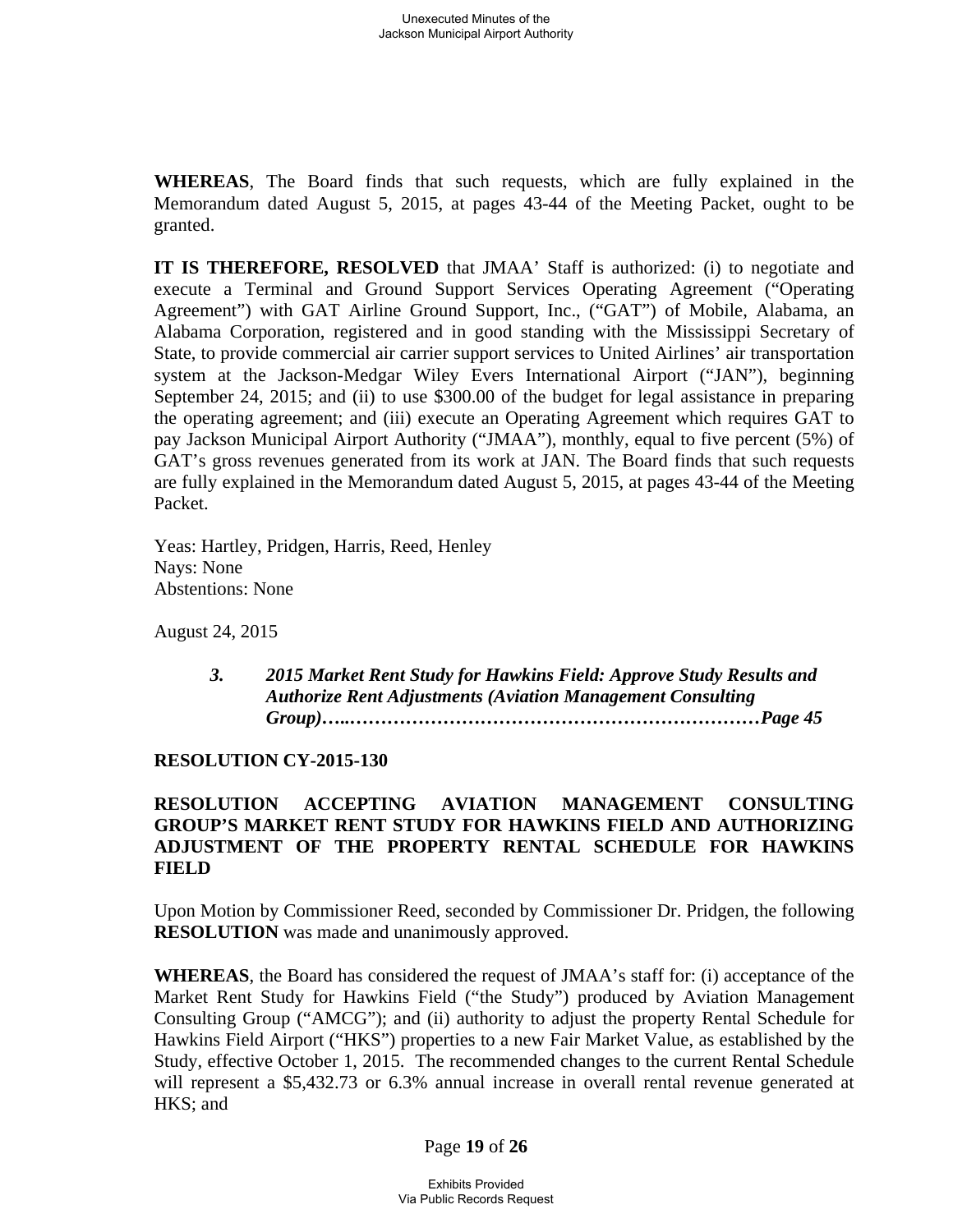**WHEREAS**, The Board finds that such requests, which are fully explained in the Memorandum dated August 5, 2015, at pages 43-44 of the Meeting Packet, ought to be granted.

**IT IS THEREFORE, RESOLVED** that JMAA' Staff is authorized: (i) to negotiate and execute a Terminal and Ground Support Services Operating Agreement ("Operating Agreement") with GAT Airline Ground Support, Inc., ("GAT") of Mobile, Alabama, an Alabama Corporation, registered and in good standing with the Mississippi Secretary of State, to provide commercial air carrier support services to United Airlines' air transportation system at the Jackson-Medgar Wiley Evers International Airport ("JAN"), beginning September 24, 2015; and (ii) to use \$300.00 of the budget for legal assistance in preparing the operating agreement; and (iii) execute an Operating Agreement which requires GAT to pay Jackson Municipal Airport Authority ("JMAA"), monthly, equal to five percent (5%) of GAT's gross revenues generated from its work at JAN. The Board finds that such requests are fully explained in the Memorandum dated August 5, 2015, at pages 43-44 of the Meeting Packet.

Yeas: Hartley, Pridgen, Harris, Reed, Henley Nays: None Abstentions: None

August 24, 2015

 *3. 2015 Market Rent Study for Hawkins Field: Approve Study Results and Authorize Rent Adjustments (Aviation Management Consulting Group)…..…………………………………………………………Page 45*

#### **RESOLUTION CY-2015-130**

## **RESOLUTION ACCEPTING AVIATION MANAGEMENT CONSULTING GROUP'S MARKET RENT STUDY FOR HAWKINS FIELD AND AUTHORIZING ADJUSTMENT OF THE PROPERTY RENTAL SCHEDULE FOR HAWKINS FIELD**

Upon Motion by Commissioner Reed, seconded by Commissioner Dr. Pridgen, the following **RESOLUTION** was made and unanimously approved.

**WHEREAS**, the Board has considered the request of JMAA's staff for: (i) acceptance of the Market Rent Study for Hawkins Field ("the Study") produced by Aviation Management Consulting Group ("AMCG"); and (ii) authority to adjust the property Rental Schedule for Hawkins Field Airport ("HKS") properties to a new Fair Market Value, as established by the Study, effective October 1, 2015. The recommended changes to the current Rental Schedule will represent a \$5,432.73 or 6.3% annual increase in overall rental revenue generated at HKS; and

#### Page **19** of **26**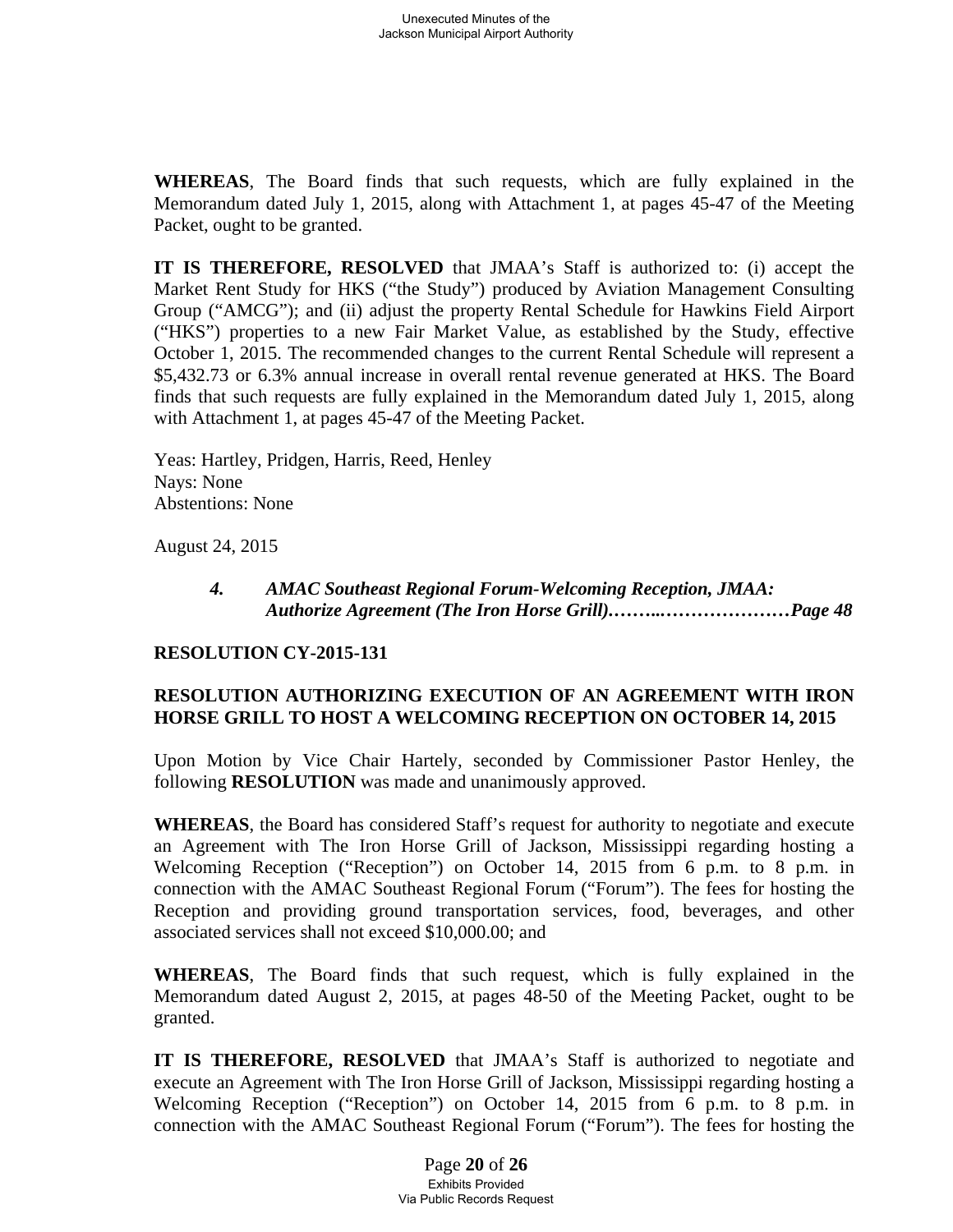**WHEREAS**, The Board finds that such requests, which are fully explained in the Memorandum dated July 1, 2015, along with Attachment 1, at pages 45-47 of the Meeting Packet, ought to be granted.

**IT IS THEREFORE, RESOLVED** that JMAA's Staff is authorized to: (i) accept the Market Rent Study for HKS ("the Study") produced by Aviation Management Consulting Group ("AMCG"); and (ii) adjust the property Rental Schedule for Hawkins Field Airport ("HKS") properties to a new Fair Market Value, as established by the Study, effective October 1, 2015. The recommended changes to the current Rental Schedule will represent a \$5,432.73 or 6.3% annual increase in overall rental revenue generated at HKS. The Board finds that such requests are fully explained in the Memorandum dated July 1, 2015, along with Attachment 1, at pages 45-47 of the Meeting Packet.

Yeas: Hartley, Pridgen, Harris, Reed, Henley Nays: None Abstentions: None

August 24, 2015

#### *4. AMAC Southeast Regional Forum-Welcoming Reception, JMAA: Authorize Agreement (The Iron Horse Grill).***……..***…………………Page 48*

#### **RESOLUTION CY-2015-131**

## **RESOLUTION AUTHORIZING EXECUTION OF AN AGREEMENT WITH IRON HORSE GRILL TO HOST A WELCOMING RECEPTION ON OCTOBER 14, 2015**

Upon Motion by Vice Chair Hartely, seconded by Commissioner Pastor Henley, the following **RESOLUTION** was made and unanimously approved.

**WHEREAS**, the Board has considered Staff's request for authority to negotiate and execute an Agreement with The Iron Horse Grill of Jackson, Mississippi regarding hosting a Welcoming Reception ("Reception") on October 14, 2015 from 6 p.m. to 8 p.m. in connection with the AMAC Southeast Regional Forum ("Forum"). The fees for hosting the Reception and providing ground transportation services, food, beverages, and other associated services shall not exceed \$10,000.00; and

**WHEREAS**, The Board finds that such request, which is fully explained in the Memorandum dated August 2, 2015, at pages 48-50 of the Meeting Packet, ought to be granted.

**IT IS THEREFORE, RESOLVED** that JMAA's Staff is authorized to negotiate and execute an Agreement with The Iron Horse Grill of Jackson, Mississippi regarding hosting a Welcoming Reception ("Reception") on October 14, 2015 from 6 p.m. to 8 p.m. in connection with the AMAC Southeast Regional Forum ("Forum"). The fees for hosting the

> Page **20** of **26** Exhibits Provided Via Public Records Request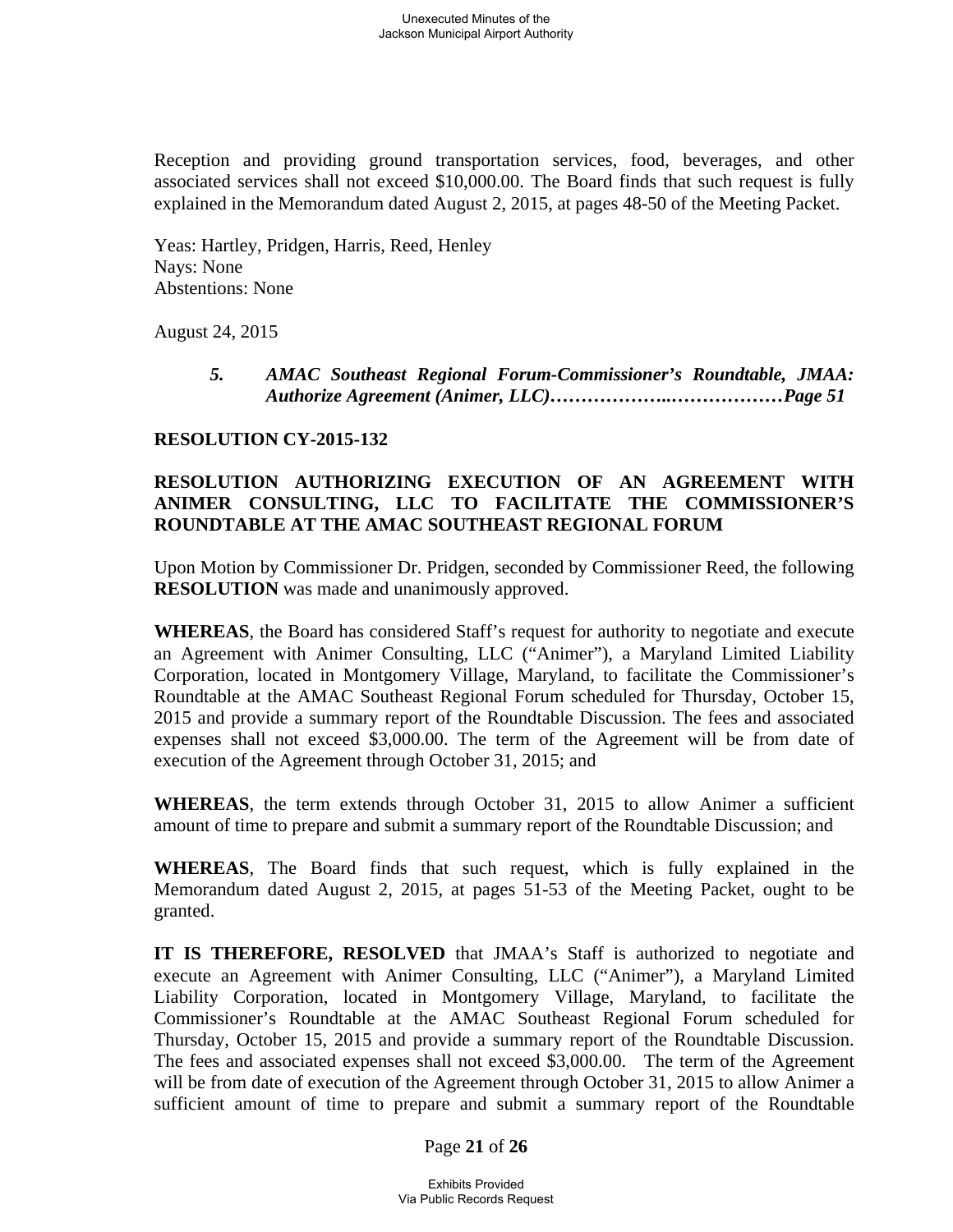Reception and providing ground transportation services, food, beverages, and other associated services shall not exceed \$10,000.00. The Board finds that such request is fully explained in the Memorandum dated August 2, 2015, at pages 48-50 of the Meeting Packet.

Yeas: Hartley, Pridgen, Harris, Reed, Henley Nays: None Abstentions: None

August 24, 2015

 *5. AMAC Southeast Regional Forum-Commissioner's Roundtable, JMAA: Authorize Agreement (Animer, LLC)………………..………………Page 51*

## **RESOLUTION CY-2015-132**

## **RESOLUTION AUTHORIZING EXECUTION OF AN AGREEMENT WITH ANIMER CONSULTING, LLC TO FACILITATE THE COMMISSIONER'S ROUNDTABLE AT THE AMAC SOUTHEAST REGIONAL FORUM**

Upon Motion by Commissioner Dr. Pridgen, seconded by Commissioner Reed, the following **RESOLUTION** was made and unanimously approved.

**WHEREAS**, the Board has considered Staff's request for authority to negotiate and execute an Agreement with Animer Consulting, LLC ("Animer"), a Maryland Limited Liability Corporation, located in Montgomery Village, Maryland, to facilitate the Commissioner's Roundtable at the AMAC Southeast Regional Forum scheduled for Thursday, October 15, 2015 and provide a summary report of the Roundtable Discussion. The fees and associated expenses shall not exceed \$3,000.00. The term of the Agreement will be from date of execution of the Agreement through October 31, 2015; and

**WHEREAS**, the term extends through October 31, 2015 to allow Animer a sufficient amount of time to prepare and submit a summary report of the Roundtable Discussion; and

**WHEREAS**, The Board finds that such request, which is fully explained in the Memorandum dated August 2, 2015, at pages 51-53 of the Meeting Packet, ought to be granted.

**IT IS THEREFORE, RESOLVED** that JMAA's Staff is authorized to negotiate and execute an Agreement with Animer Consulting, LLC ("Animer"), a Maryland Limited Liability Corporation, located in Montgomery Village, Maryland, to facilitate the Commissioner's Roundtable at the AMAC Southeast Regional Forum scheduled for Thursday, October 15, 2015 and provide a summary report of the Roundtable Discussion. The fees and associated expenses shall not exceed \$3,000.00. The term of the Agreement will be from date of execution of the Agreement through October 31, 2015 to allow Animer a sufficient amount of time to prepare and submit a summary report of the Roundtable

#### Page **21** of **26**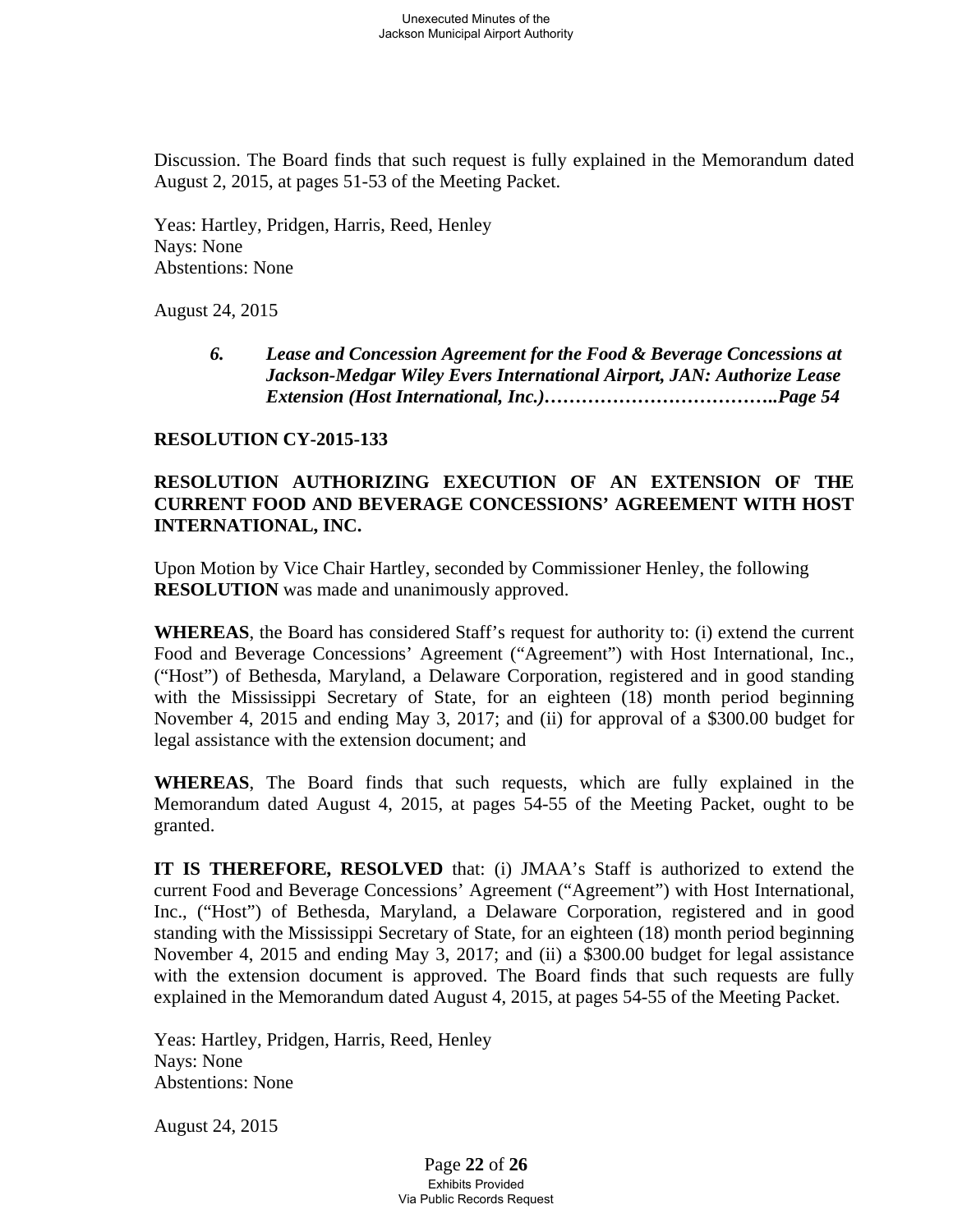Discussion. The Board finds that such request is fully explained in the Memorandum dated August 2, 2015, at pages 51-53 of the Meeting Packet.

Yeas: Hartley, Pridgen, Harris, Reed, Henley Nays: None Abstentions: None

August 24, 2015

 *6. Lease and Concession Agreement for the Food & Beverage Concessions at Jackson-Medgar Wiley Evers International Airport, JAN: Authorize Lease Extension (Host International, Inc.)………………………………..Page 54* 

#### **RESOLUTION CY-2015-133**

## **RESOLUTION AUTHORIZING EXECUTION OF AN EXTENSION OF THE CURRENT FOOD AND BEVERAGE CONCESSIONS' AGREEMENT WITH HOST INTERNATIONAL, INC.**

Upon Motion by Vice Chair Hartley, seconded by Commissioner Henley, the following **RESOLUTION** was made and unanimously approved.

**WHEREAS**, the Board has considered Staff's request for authority to: (i) extend the current Food and Beverage Concessions' Agreement ("Agreement") with Host International, Inc., ("Host") of Bethesda, Maryland, a Delaware Corporation, registered and in good standing with the Mississippi Secretary of State, for an eighteen (18) month period beginning November 4, 2015 and ending May 3, 2017; and (ii) for approval of a \$300.00 budget for legal assistance with the extension document; and

**WHEREAS**, The Board finds that such requests, which are fully explained in the Memorandum dated August 4, 2015, at pages 54-55 of the Meeting Packet, ought to be granted.

**IT IS THEREFORE, RESOLVED** that: (i) JMAA's Staff is authorized to extend the current Food and Beverage Concessions' Agreement ("Agreement") with Host International, Inc., ("Host") of Bethesda, Maryland, a Delaware Corporation, registered and in good standing with the Mississippi Secretary of State, for an eighteen (18) month period beginning November 4, 2015 and ending May 3, 2017; and (ii) a \$300.00 budget for legal assistance with the extension document is approved. The Board finds that such requests are fully explained in the Memorandum dated August 4, 2015, at pages 54-55 of the Meeting Packet.

Yeas: Hartley, Pridgen, Harris, Reed, Henley Nays: None Abstentions: None

August 24, 2015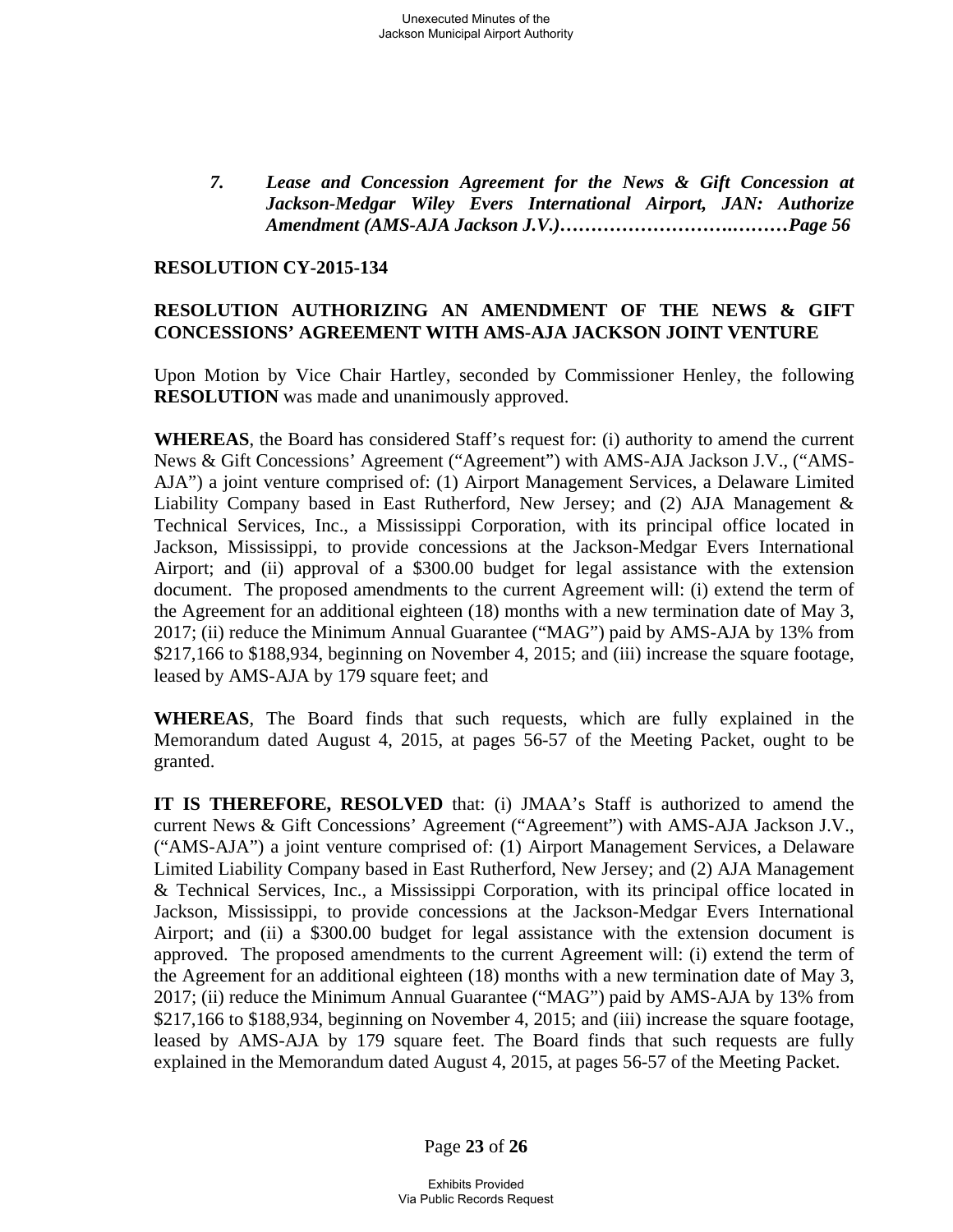*7. Lease and Concession Agreement for the News & Gift Concession at Jackson-Medgar Wiley Evers International Airport, JAN: Authorize Amendment (AMS-AJA Jackson J.V.)……………………….………Page 56*

#### **RESOLUTION CY-2015-134**

## **RESOLUTION AUTHORIZING AN AMENDMENT OF THE NEWS & GIFT CONCESSIONS' AGREEMENT WITH AMS-AJA JACKSON JOINT VENTURE**

Upon Motion by Vice Chair Hartley, seconded by Commissioner Henley, the following **RESOLUTION** was made and unanimously approved.

**WHEREAS**, the Board has considered Staff's request for: (i) authority to amend the current News & Gift Concessions' Agreement ("Agreement") with AMS-AJA Jackson J.V., ("AMS-AJA") a joint venture comprised of: (1) Airport Management Services, a Delaware Limited Liability Company based in East Rutherford, New Jersey; and (2) AJA Management & Technical Services, Inc., a Mississippi Corporation, with its principal office located in Jackson, Mississippi, to provide concessions at the Jackson-Medgar Evers International Airport; and (ii) approval of a \$300.00 budget for legal assistance with the extension document. The proposed amendments to the current Agreement will: (i) extend the term of the Agreement for an additional eighteen (18) months with a new termination date of May 3, 2017; (ii) reduce the Minimum Annual Guarantee ("MAG") paid by AMS-AJA by 13% from \$217,166 to \$188,934, beginning on November 4, 2015; and (iii) increase the square footage, leased by AMS-AJA by 179 square feet; and

**WHEREAS**, The Board finds that such requests, which are fully explained in the Memorandum dated August 4, 2015, at pages 56-57 of the Meeting Packet, ought to be granted.

**IT IS THEREFORE, RESOLVED** that: (i) JMAA's Staff is authorized to amend the current News & Gift Concessions' Agreement ("Agreement") with AMS-AJA Jackson J.V., ("AMS-AJA") a joint venture comprised of: (1) Airport Management Services, a Delaware Limited Liability Company based in East Rutherford, New Jersey; and (2) AJA Management & Technical Services, Inc., a Mississippi Corporation, with its principal office located in Jackson, Mississippi, to provide concessions at the Jackson-Medgar Evers International Airport; and (ii) a \$300.00 budget for legal assistance with the extension document is approved. The proposed amendments to the current Agreement will: (i) extend the term of the Agreement for an additional eighteen (18) months with a new termination date of May 3, 2017; (ii) reduce the Minimum Annual Guarantee ("MAG") paid by AMS-AJA by 13% from \$217,166 to \$188,934, beginning on November 4, 2015; and (iii) increase the square footage, leased by AMS-AJA by 179 square feet. The Board finds that such requests are fully explained in the Memorandum dated August 4, 2015, at pages 56-57 of the Meeting Packet.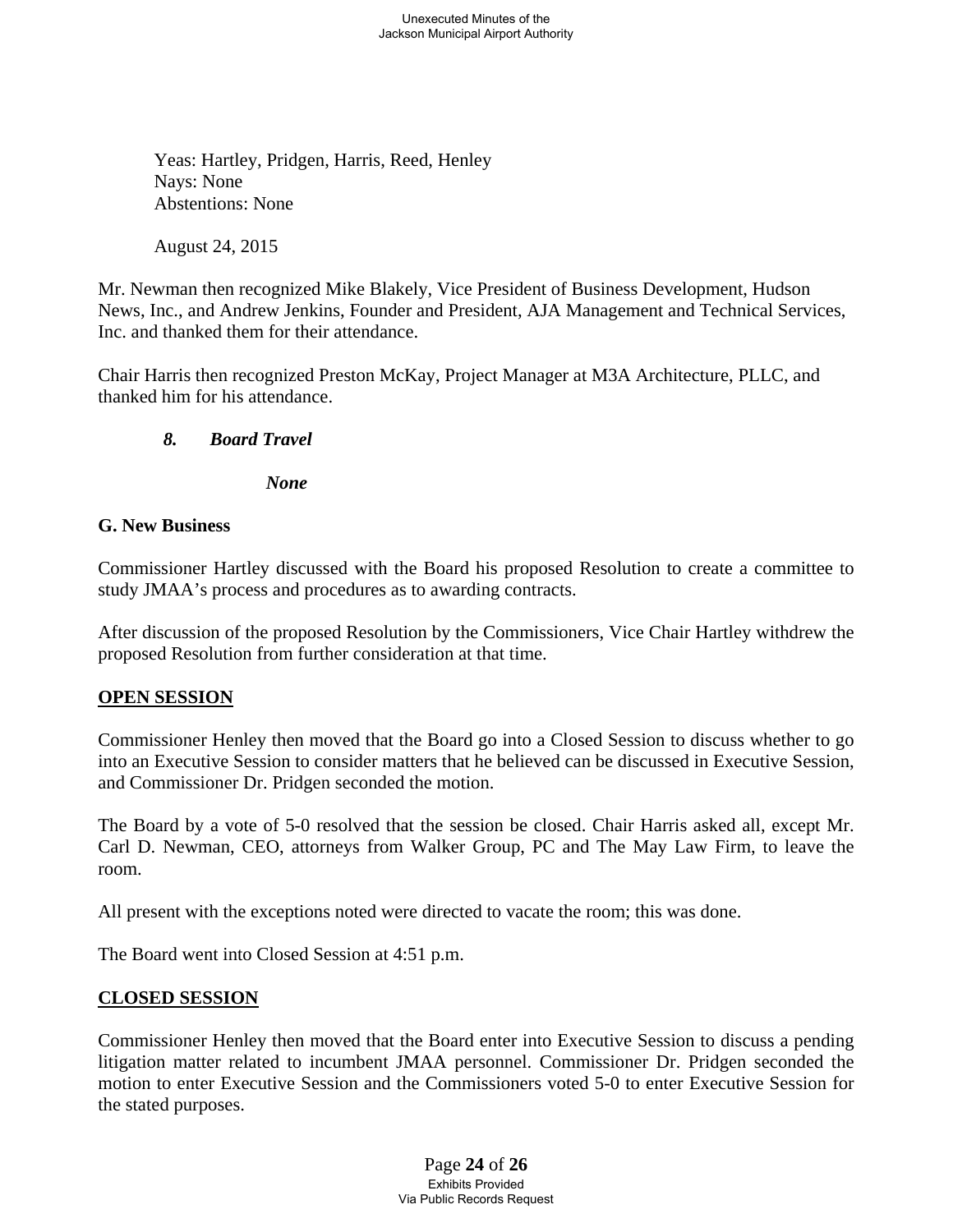Yeas: Hartley, Pridgen, Harris, Reed, Henley Nays: None Abstentions: None

August 24, 2015

Mr. Newman then recognized Mike Blakely, Vice President of Business Development, Hudson News, Inc., and Andrew Jenkins, Founder and President, AJA Management and Technical Services, Inc. and thanked them for their attendance.

Chair Harris then recognized Preston McKay, Project Manager at M3A Architecture, PLLC, and thanked him for his attendance.

## *8. Board Travel*

 *None* 

#### **G. New Business**

Commissioner Hartley discussed with the Board his proposed Resolution to create a committee to study JMAA's process and procedures as to awarding contracts.

After discussion of the proposed Resolution by the Commissioners, Vice Chair Hartley withdrew the proposed Resolution from further consideration at that time.

## **OPEN SESSION**

Commissioner Henley then moved that the Board go into a Closed Session to discuss whether to go into an Executive Session to consider matters that he believed can be discussed in Executive Session, and Commissioner Dr. Pridgen seconded the motion.

The Board by a vote of 5-0 resolved that the session be closed. Chair Harris asked all, except Mr. Carl D. Newman, CEO, attorneys from Walker Group, PC and The May Law Firm, to leave the room.

All present with the exceptions noted were directed to vacate the room; this was done.

The Board went into Closed Session at 4:51 p.m.

#### **CLOSED SESSION**

Commissioner Henley then moved that the Board enter into Executive Session to discuss a pending litigation matter related to incumbent JMAA personnel. Commissioner Dr. Pridgen seconded the motion to enter Executive Session and the Commissioners voted 5-0 to enter Executive Session for the stated purposes.

> Page **24** of **26** Exhibits Provided Via Public Records Request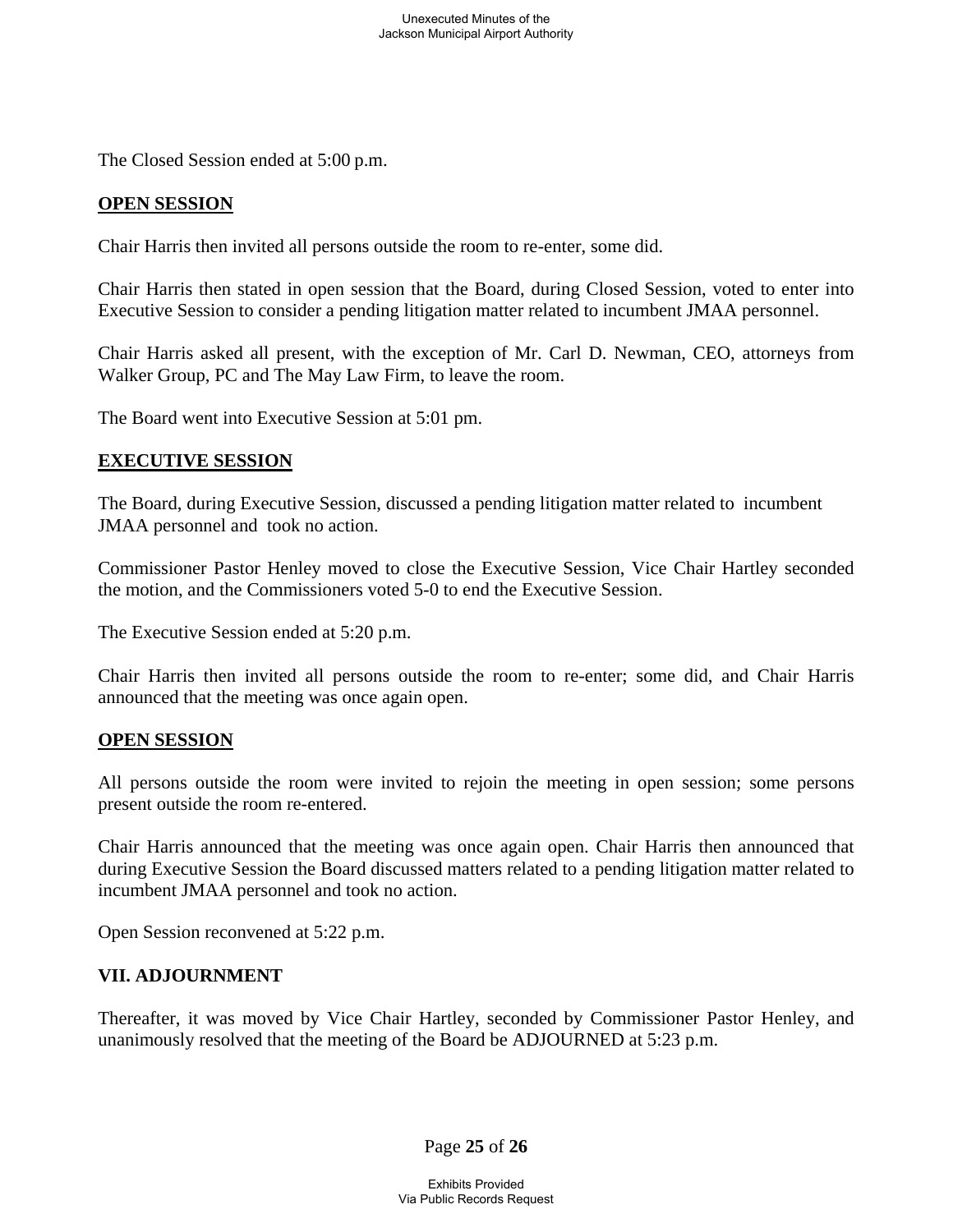The Closed Session ended at 5:00 p.m.

#### **OPEN SESSION**

Chair Harris then invited all persons outside the room to re-enter, some did.

Chair Harris then stated in open session that the Board, during Closed Session, voted to enter into Executive Session to consider a pending litigation matter related to incumbent JMAA personnel.

Chair Harris asked all present, with the exception of Mr. Carl D. Newman, CEO, attorneys from Walker Group, PC and The May Law Firm, to leave the room.

The Board went into Executive Session at 5:01 pm.

#### **EXECUTIVE SESSION**

The Board, during Executive Session, discussed a pending litigation matter related to incumbent JMAA personnel and took no action.

Commissioner Pastor Henley moved to close the Executive Session, Vice Chair Hartley seconded the motion, and the Commissioners voted 5-0 to end the Executive Session.

The Executive Session ended at 5:20 p.m.

Chair Harris then invited all persons outside the room to re-enter; some did, and Chair Harris announced that the meeting was once again open.

#### **OPEN SESSION**

All persons outside the room were invited to rejoin the meeting in open session; some persons present outside the room re-entered.

Chair Harris announced that the meeting was once again open. Chair Harris then announced that during Executive Session the Board discussed matters related to a pending litigation matter related to incumbent JMAA personnel and took no action.

Open Session reconvened at 5:22 p.m.

#### **VII. ADJOURNMENT**

Thereafter, it was moved by Vice Chair Hartley, seconded by Commissioner Pastor Henley, and unanimously resolved that the meeting of the Board be ADJOURNED at 5:23 p.m.

Page **25** of **26**